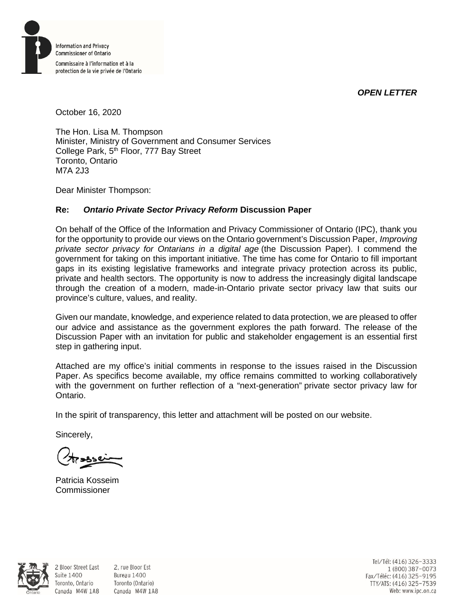*OPEN LETTER*



October 16, 2020

The Hon. Lisa M. Thompson Minister, Ministry of Government and Consumer Services College Park, 5<sup>th</sup> Floor, 777 Bay Street Toronto, Ontario M7A 2J3

Dear Minister Thompson:

## **Re:** *Ontario Private Sector Privacy Reform* **Discussion Paper**

On behalf of the Office of the Information and Privacy Commissioner of Ontario (IPC), thank you for the opportunity to provide our views on the Ontario government's Discussion Paper, *Improving private sector privacy for Ontarians in a digital age* (the Discussion Paper). I commend the government for taking on this important initiative. The time has come for Ontario to fill important gaps in its existing legislative frameworks and integrate privacy protection across its public, private and health sectors. The opportunity is now to address the increasingly digital landscape through the creation of a modern, made-in-Ontario private sector privacy law that suits our province's culture, values, and reality.

Given our mandate, knowledge, and experience related to data protection, we are pleased to offer our advice and assistance as the government explores the path forward. The release of the Discussion Paper with an invitation for public and stakeholder engagement is an essential first step in gathering input.

Attached are my office's initial comments in response to the issues raised in the Discussion Paper. As specifics become available, my office remains committed to working collaboratively with the government on further reflection of a "next-generation" private sector privacy law for Ontario.

In the spirit of transparency, this letter and attachment will be posted on our website.

Sincerely,

Suite 1400

Patricia Kosseim Commissioner



2 Bloor Street East 2, rue Bloor Est Bureau 1400 Toronto, Ontario Toronto (Ontario) Canada M4W 1A8 Canada M4W 1A8

Tel/Tél: (416) 326-3333 1 (800) 387-0073 Fax/Téléc: (416) 325-9195 TTY/ATS: (416) 325-7539<br>Web: www.ipc.on.ca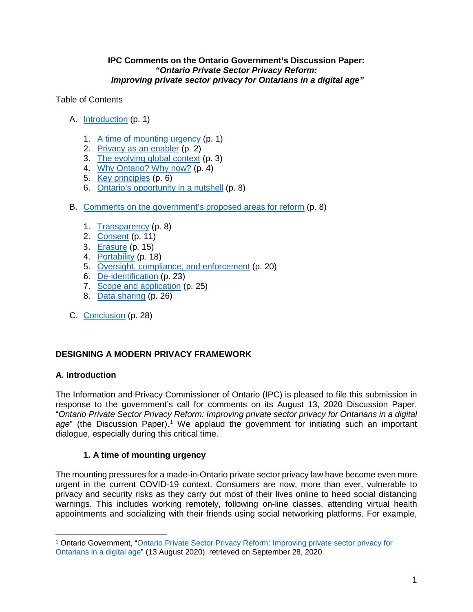### **IPC Comments on the Ontario Government's Discussion Paper:** *"Ontario Private Sector Privacy Reform: Improving private sector privacy for Ontarians in a digital age"*

Table of Contents

- A. [Introduction](#page-1-0) (p. 1)
	- 1. [A time of mounting urgency](#page-1-1) (p. 1)
	- 2. [Privacy as an enabler](#page-2-0) (p. 2)
	- 3. [The evolving global context](#page-3-0) (p. 3)
	- 4. [Why Ontario? Why now?](#page-4-0) (p. 4)
	- 5. [Key principles](#page-6-0) (p. 6)
	- 6. [Ontario's opportunity in a nutshell](#page-8-0) (p. 8)
- B. [Comments on the government's proposed areas for reform](#page-8-1) (p. 8)
	- 1. [Transparency](#page-8-2) (p. 8)
	- 2. [Consent](#page-11-0) (p. 11)
	- 3. [Erasure](#page-15-0) (p. 15)
	- 4. [Portability](#page-18-0) (p. 18)
	- 5. [Oversight, compliance,](#page-20-0) and enforcement (p. 20)
	- 6. [De-identification](#page-23-0) (p. 23)
	- 7. [Scope and application](#page-25-0) (p. 25)
	- 8. [Data sharing](#page-26-0) (p. 26)
- C. [Conclusion](#page-28-0) (p. 28)

## **DESIGNING A MODERN PRIVACY FRAMEWORK**

## <span id="page-1-0"></span>**A. Introduction**

 $\overline{a}$ 

The Information and Privacy Commissioner of Ontario (IPC) is pleased to file this submission in response to the government's call for comments on its August 13, 2020 Discussion Paper, "*Ontario Private Sector Privacy Reform: Improving private sector privacy for Ontarians in a digital age*" (the Discussion Paper). [1](#page-1-2) We applaud the government for initiating such an important dialogue, especially during this critical time.

## <span id="page-1-1"></span>**1. A time of mounting urgency**

The mounting pressures for a made-in-Ontario private sector privacy law have become even more urgent in the current COVID-19 context. Consumers are now, more than ever, vulnerable to privacy and security risks as they carry out most of their lives online to heed social distancing warnings. This includes working remotely, following on-line classes, attending virtual health appointments and socializing with their friends using social networking platforms. For example,

<span id="page-1-2"></span><sup>1</sup> Ontario Government, ["Ontario Private Sector Privacy Reform: Improving private sector privacy for](https://www.ontariocanada.com/registry/showAttachment.do?postingId=33967&attachmentId=45716)  [Ontarians in a digital age"](https://www.ontariocanada.com/registry/showAttachment.do?postingId=33967&attachmentId=45716) (13 August 2020), retrieved on September 28, 2020.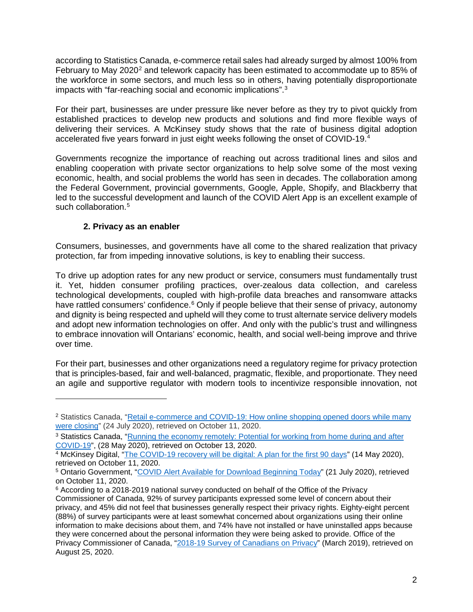according to Statistics Canada, e-commerce retail sales had already surged by almost 100% from February to May [2](#page-2-1)020<sup>2</sup> and telework capacity has been estimated to accommodate up to 85% of the workforce in some sectors, and much less so in others, having potentially disproportionate impacts with "far-reaching social and economic implications". [3](#page-2-2)

For their part, businesses are under pressure like never before as they try to pivot quickly from established practices to develop new products and solutions and find more flexible ways of delivering their services. A McKinsey study shows that the rate of business digital adoption accelerated five years forward in just eight weeks following the onset of COVID-19[.4](#page-2-3)

Governments recognize the importance of reaching out across traditional lines and silos and enabling cooperation with private sector organizations to help solve some of the most vexing economic, health, and social problems the world has seen in decades. The collaboration among the Federal Government, provincial governments, Google, Apple, Shopify, and Blackberry that led to the successful development and launch of the COVID Alert App is an excellent example of such collaboration.<sup>[5](#page-2-4)</sup>

## <span id="page-2-0"></span>**2. Privacy as an enabler**

 $\overline{a}$ 

Consumers, businesses, and governments have all come to the shared realization that privacy protection, far from impeding innovative solutions, is key to enabling their success.

To drive up adoption rates for any new product or service, consumers must fundamentally trust it. Yet, hidden consumer profiling practices, over-zealous data collection, and careless technological developments, coupled with high-profile data breaches and ransomware attacks have rattled consumers' confidence.<sup>[6](#page-2-5)</sup> Only if people believe that their sense of privacy, autonomy and dignity is being respected and upheld will they come to trust alternate service delivery models and adopt new information technologies on offer. And only with the public's trust and willingness to embrace innovation will Ontarians' economic, health, and social well-being improve and thrive over time.

For their part, businesses and other organizations need a regulatory regime for privacy protection that is principles-based, fair and well-balanced, pragmatic, flexible, and proportionate. They need an agile and supportive regulator with modern tools to incentivize responsible innovation, not

<span id="page-2-1"></span><sup>&</sup>lt;sup>2</sup> Statistics Canada, "Retail e-commerce and COVID-19: How online shopping opened doors while many [were closing"](https://www150.statcan.gc.ca/n1/pub/45-28-0001/2020001/article/00064-eng.htm) (24 July 2020), retrieved on October 11, 2020.

<span id="page-2-2"></span><sup>&</sup>lt;sup>3</sup> Statistics Canada, "Running the economy remotely: Potential for working from home during and after [COVID-19"](https://www150.statcan.gc.ca/n1/pub/45-28-0001/2020001/article/00026-eng.htm), (28 May 2020), retrieved on October 13, 2020.

<span id="page-2-3"></span><sup>&</sup>lt;sup>4</sup> McKinsey Digital, ["The COVID-19 recovery will be digital: A plan for the first 90 days"](https://www.mckinsey.com/business-functions/mckinsey-digital/our-insights/the-covid-19-recovery-will-be-digital-a-plan-for-the-first-90-days) (14 May 2020), retrieved on October 11, 2020.

<span id="page-2-4"></span><sup>&</sup>lt;sup>5</sup> Ontario Government, ["COVID Alert Available for Download Beginning Today"](https://news.ontario.ca/en/release/57862/covid-alert-available-for-download-beginning-today) (21 July 2020), retrieved on October 11, 2020.

<span id="page-2-5"></span><sup>6</sup> According to a 2018-2019 national survey conducted on behalf of the Office of the Privacy Commissioner of Canada, 92% of survey participants expressed some level of concern about their privacy, and 45% did not feel that businesses generally respect their privacy rights. Eighty-eight percent (88%) of survey participants were at least somewhat concerned about organizations using their online information to make decisions about them, and 74% have not installed or have uninstalled apps because they were concerned about the personal information they were being asked to provide. Office of the Privacy Commissioner of Canada, ["2018-19 Survey of Canadians on Privacy"](https://www.priv.gc.ca/en/opc-actions-and-decisions/research/explore-privacy-research/2019/por_2019_ca/) (March 2019), retrieved on August 25, 2020.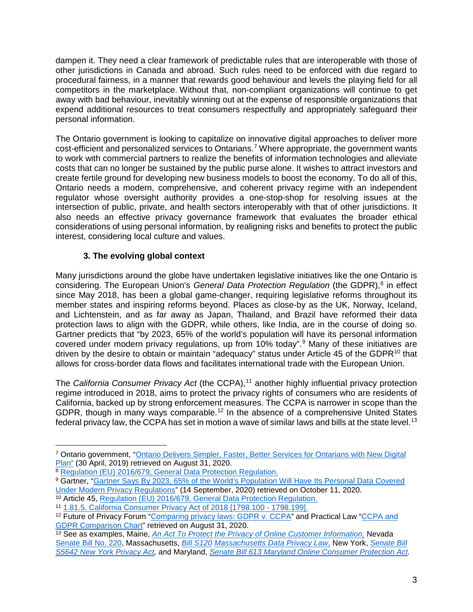dampen it. They need a clear framework of predictable rules that are interoperable with those of other jurisdictions in Canada and abroad. Such rules need to be enforced with due regard to procedural fairness, in a manner that rewards good behaviour and levels the playing field for all competitors in the marketplace. Without that, non-compliant organizations will continue to get away with bad behaviour, inevitably winning out at the expense of responsible organizations that expend additional resources to treat consumers respectfully and appropriately safeguard their personal information.

The Ontario government is looking to capitalize on innovative digital approaches to deliver more cost-efficient and personalized services to Ontarians. [7](#page-3-1) Where appropriate, the government wants to work with commercial partners to realize the benefits of information technologies and alleviate costs that can no longer be sustained by the public purse alone. It wishes to attract investors and create fertile ground for developing new business models to boost the economy. To do all of this, Ontario needs a modern, comprehensive, and coherent privacy regime with an independent regulator whose oversight authority provides a one-stop-shop for resolving issues at the intersection of public, private, and health sectors interoperably with that of other jurisdictions. It also needs an effective privacy governance framework that evaluates the broader ethical considerations of using personal information, by realigning risks and benefits to protect the public interest, considering local culture and values.

## <span id="page-3-0"></span>**3. The evolving global context**

Many jurisdictions around the globe have undertaken legislative initiatives like the one Ontario is considering. The European Union's *General Data Protection Regulation* (the GDPR), [8](#page-3-2) in effect since May 2018, has been a global game-changer, requiring legislative reforms throughout its member states and inspiring reforms beyond. Places as close-by as the UK, Norway, Iceland, and Lichtenstein, and as far away as Japan, Thailand, and Brazil have reformed their data protection laws to align with the GDPR, while others, like India, are in the course of doing so. Gartner predicts that "by 2023, 65% of the world's population will have its personal information covered under modern privacy regulations, up from 10% today".[9](#page-3-3) Many of these initiatives are driven by the desire to obtain or maintain "adequacy" status under Article 45 of the GDPR<sup>[10](#page-3-4)</sup> that allows for cross-border data flows and facilitates international trade with the European Union.

The *California Consumer Privacy Act* (the CCPA), [11](#page-3-5) another highly influential privacy protection regime introduced in 2018, aims to protect the privacy rights of consumers who are residents of California, backed up by strong enforcement measures. The CCPA is narrower in scope than the GDPR, though in many ways comparable.<sup>[12](#page-3-6)</sup> In the absence of a comprehensive United States federal privacy law, the CCPA has set in motion a wave of similar laws and bills at the state level.  $^{\rm 13}$  $^{\rm 13}$  $^{\rm 13}$ 

<span id="page-3-1"></span> $\overline{a}$ <sup>7</sup> Ontario government, ["Ontario Delivers Simpler, Faster, Better Services for Ontarians with New Digital](https://news.ontario.ca/en/backgrounder/52026/ontario-delivers-simpler-faster-better-services-for-ontarians-with-new-digital-plan)  [Plan"](https://news.ontario.ca/en/backgrounder/52026/ontario-delivers-simpler-faster-better-services-for-ontarians-with-new-digital-plan) (30 April, 2019) retrieved on August 31, 2020.

<span id="page-3-2"></span><sup>8</sup> [Regulation \(EU\) 2016/679, General Data Protection Regulation.](https://gdpr-info.eu/)

<span id="page-3-3"></span><sup>&</sup>lt;sup>9</sup> Gartner, "Gartner Says By 2023, 65% of the World's Population Will Have Its Personal Data Covered [Under Modern Privacy Regulations"](https://www.gartner.com/en/newsroom/press-releases/2020-09-14-gartner-says-by-2023--65--of-the-world-s-population-w) (14 September, 2020) retrieved on October 11, 2020.

<span id="page-3-4"></span><sup>10</sup> Article 45, [Regulation \(EU\) 2016/679, General Data Protection Regulation.](https://gdpr-info.eu/)

<span id="page-3-5"></span><sup>11</sup> [1.81.5. California Consumer Privacy Act of 2018 \[1798.100 -](http://leginfo.legislature.ca.gov/faces/codes_displayText.xhtml?division=3.&part=4.&lawCode=CIV&title=1.81.5) 1798.199].

<span id="page-3-6"></span><sup>&</sup>lt;sup>12</sup> Future of Privacy Forum ["Comparing privacy laws: GDPR v. CCPA"](https://fpf.org/wp-content/uploads/2018/11/GDPR_CCPA_Comparison-Guide.pdf) and Practical Law "CCPA and [GDPR Comparison Chart"](https://iapp.org/media/pdf/resource_center/CCPA_GDPR_Chart_PracticalLaw_2019.pdf) retrieved on August 31, 2020.

<span id="page-3-7"></span><sup>13</sup> See as examples, Maine, *[An Act To Protect the Privacy of Online Customer Information,](http://www.mainelegislature.org/legis/bills/getPDF.asp?paper=SP0275&item=9&snum=129)* Nevada [Senate Bill No. 220,](https://www.leg.state.nv.us/App/NELIS/REL/80th2019/Bill/6365/Text) Massachusetts, *[Bill S120](https://malegislature.gov/Bills/191/SD341) [Massachusetts Data Privacy Law](https://malegislature.gov/Bills/191/SD341)*, New York, *[Senate Bill](https://www.nysenate.gov/legislation/bills/2019/s5642)  [S5642 New York Privacy Act,](https://www.nysenate.gov/legislation/bills/2019/s5642)* and Maryland, *[Senate Bill 613 Maryland Online Consumer Protection Act.](http://mgaleg.maryland.gov/mgawebsite/legislation/details/sb0613?ys=2019rs)*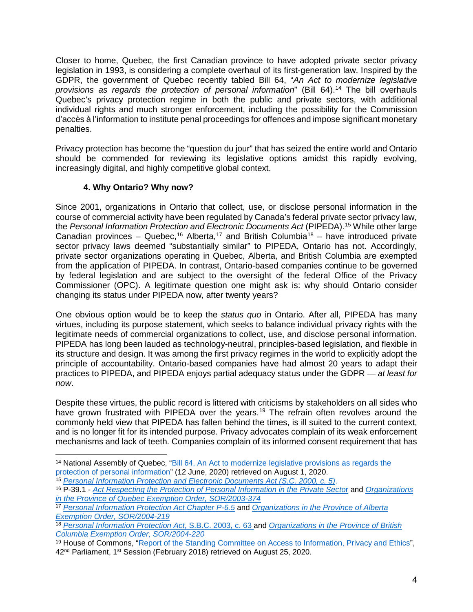Closer to home, Quebec, the first Canadian province to have adopted private sector privacy legislation in 1993, is considering a complete overhaul of its first-generation law. Inspired by the GDPR, the government of Quebec recently tabled Bill 64, "*An Act to modernize legislative provisions as regards the protection of personal information*" (Bill 64). [14](#page-4-1) The bill overhauls Quebec's privacy protection regime in both the public and private sectors, with additional individual rights and much stronger enforcement, including the possibility for the Commission d'accès à l'information to institute penal proceedings for offences and impose significant monetary penalties.

Privacy protection has become the "question du jour" that has seized the entire world and Ontario should be commended for reviewing its legislative options amidst this rapidly evolving, increasingly digital, and highly competitive global context.

## <span id="page-4-0"></span>**4. Why Ontario? Why now?**

 $\overline{a}$ 

Since 2001, organizations in Ontario that collect, use, or disclose personal information in the course of commercial activity have been regulated by Canada's federal private sector privacy law, the *Personal Information Protection and Electronic Documents Act* (PIPEDA). [15](#page-4-2) While other large Canadian provinces – Quebec,<sup>[16](#page-4-3)</sup> Alberta,<sup>[17](#page-4-4)</sup> and British Columbia<sup>[18](#page-4-5)</sup> – have introduced private sector privacy laws deemed "substantially similar" to PIPEDA, Ontario has not. Accordingly, private sector organizations operating in Quebec, Alberta, and British Columbia are exempted from the application of PIPEDA. In contrast, Ontario-based companies continue to be governed by federal legislation and are subject to the oversight of the federal Office of the Privacy Commissioner (OPC). A legitimate question one might ask is: why should Ontario consider changing its status under PIPEDA now, after twenty years?

One obvious option would be to keep the *status quo* in Ontario. After all, PIPEDA has many virtues, including its purpose statement, which seeks to balance individual privacy rights with the legitimate needs of commercial organizations to collect, use, and disclose personal information. PIPEDA has long been lauded as technology-neutral, principles-based legislation, and flexible in its structure and design. It was among the first privacy regimes in the world to explicitly adopt the principle of accountability. Ontario-based companies have had almost 20 years to adapt their practices to PIPEDA, and PIPEDA enjoys partial adequacy status under the GDPR — *at least for now*.

Despite these virtues, the public record is littered with criticisms by stakeholders on all sides who have grown frustrated with PIPEDA over the years.<sup>[19](#page-4-6)</sup> The refrain often revolves around the commonly held view that PIPEDA has fallen behind the times, is ill suited to the current context, and is no longer fit for its intended purpose. Privacy advocates complain of its weak enforcement mechanisms and lack of teeth. Companies complain of its informed consent requirement that has

<span id="page-4-1"></span><sup>14</sup> National Assembly of Quebec, "Bill 64, [An Act to modernize legislative provisions as regards the](http://www.assnat.qc.ca/en/travaux-parlementaires/projets-loi/projet-loi-64-42-1.html)  [protection of personal information"](http://www.assnat.qc.ca/en/travaux-parlementaires/projets-loi/projet-loi-64-42-1.html) (12 June, 2020) retrieved on August 1, 2020. <sup>15</sup> *[Personal Information Protection and Electronic Documents Act](https://laws-lois.justice.gc.ca/ENG/ACTS/P-8.6/page-2.html#docCont) (S.C. 2000, c. 5)*.

<span id="page-4-3"></span><span id="page-4-2"></span><sup>16</sup> P-39.1 - *[Act Respecting the Protection of Personal Information in the Private Secto](http://legisquebec.gouv.qc.ca/en/showdoc/cs/P-39.1)*r and *[Organizations](https://laws-lois.justice.gc.ca/eng/regulations/SOR-2003-374/page-1.html)  [in the Province of Quebec Exemption Order, SOR/2003-374](https://laws-lois.justice.gc.ca/eng/regulations/SOR-2003-374/page-1.html)*

<span id="page-4-4"></span><sup>17</sup> *[Personal Information Protection Act Chapter P-6.5](https://www.qp.alberta.ca/1266.cfm?page=P06P5.cfm&leg_type=Acts&isbncln=9780779814381&display=html)* and *[Organizations in the Province of Alberta](https://laws-lois.justice.gc.ca/eng/regulations/SOR-2004-219/page-1.html)  [Exemption Order, SOR/2004-219](https://laws-lois.justice.gc.ca/eng/regulations/SOR-2004-219/page-1.html)*

<span id="page-4-5"></span><sup>18</sup> *[Personal Information Protection Act](https://www.bclaws.ca/civix/document/id/complete/statreg/03063_01)*, S.B.C. 2003, c. 63 and *[Organizations in the Province of British](https://laws-lois.justice.gc.ca/eng/regulations/SOR-2004-220/page-1.html)  [Columbia Exemption Order,](https://laws-lois.justice.gc.ca/eng/regulations/SOR-2004-220/page-1.html) SOR/2004-220*

<span id="page-4-6"></span><sup>&</sup>lt;sup>19</sup> House of Commons, ["Report of the Standing Committee on Access to Information, Privacy and Ethics"](https://www.ourcommons.ca/Content/Committee/421/ETHI/Reports/RP9690701/ethirp12/ethirp12-e.pdf), 42<sup>nd</sup> Parliament, 1<sup>st</sup> Session (February 2018) retrieved on August 25, 2020.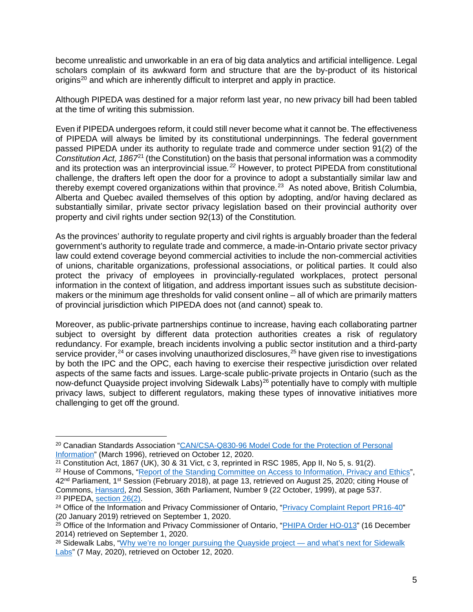become unrealistic and unworkable in an era of big data analytics and artificial intelligence. Legal scholars complain of its awkward form and structure that are the by-product of its historical origins<sup>[20](#page-5-0)</sup> and which are inherently difficult to interpret and apply in practice.

Although PIPEDA was destined for a major reform last year, no new privacy bill had been tabled at the time of writing this submission.

Even if PIPEDA undergoes reform, it could still never become what it cannot be. The effectiveness of PIPEDA will always be limited by its constitutional underpinnings. The federal government passed PIPEDA under its authority to regulate trade and commerce under section 91(2) of the *Constitution Act, 1867*[21](#page-5-1) (the Constitution) on the basis that personal information was a commodity and its protection was an interprovincial issue*. [22](#page-5-2)* However, to protect PIPEDA from constitutional challenge, the drafters left open the door for a province to adopt a substantially similar law and thereby exempt covered organizations within that province.<sup>[23](#page-5-3)</sup> As noted above, British Columbia, Alberta and Quebec availed themselves of this option by adopting, and/or having declared as substantially similar, private sector privacy legislation based on their provincial authority over property and civil rights under section 92(13) of the Constitution*.* 

As the provinces' authority to regulate property and civil rights is arguably broader than the federal government's authority to regulate trade and commerce, a made-in-Ontario private sector privacy law could extend coverage beyond commercial activities to include the non-commercial activities of unions, charitable organizations, professional associations, or political parties. It could also protect the privacy of employees in provincially-regulated workplaces, protect personal information in the context of litigation, and address important issues such as substitute decisionmakers or the minimum age thresholds for valid consent online – all of which are primarily matters of provincial jurisdiction which PIPEDA does not (and cannot) speak to.

Moreover, as public-private partnerships continue to increase, having each collaborating partner subject to oversight by different data protection authorities creates a risk of regulatory redundancy. For example, breach incidents involving a public sector institution and a third-party service provider,<sup>[24](#page-5-4)</sup> or cases involving unauthorized disclosures,<sup>[25](#page-5-5)</sup> have given rise to investigations by both the IPC and the OPC, each having to exercise their respective jurisdiction over related aspects of the same facts and issues. Large-scale public-private projects in Ontario (such as the now-defunct Quayside project involving Sidewalk Labs)<sup>[26](#page-5-6)</sup> potentially have to comply with multiple privacy laws, subject to different regulators, making these types of innovative initiatives more challenging to get off the ground.

<span id="page-5-0"></span><sup>20</sup> Canadian Standards Association ["CAN/CSA-Q830-96 Model Code for the Protection of Personal](http://www.afn.ca/uploads/files/nihbforum/info_and_privacy_doc_-csa_model_code_for_the_protection_of_personal_information.pdf)  [Information"](http://www.afn.ca/uploads/files/nihbforum/info_and_privacy_doc_-csa_model_code_for_the_protection_of_personal_information.pdf) (March 1996), retrieved on October 12, 2020.

<span id="page-5-2"></span><span id="page-5-1"></span> $21$  Constitution Act, 1867 (UK), 30 & 31 Vict, c 3, reprinted in RSC 1985, App II, No 5, s. 91(2). <sup>22</sup> House of Commons, ["Report of the Standing Committee on Access to Information, Privacy and Ethics"](https://www.ourcommons.ca/Content/Committee/421/ETHI/Reports/RP9690701/ethirp12/ethirp12-e.pdf), 42<sup>nd</sup> Parliament, 1<sup>st</sup> Session (February 2018), at page 13, retrieved on August 25, 2020; citing House of Commons, [Hansard,](https://www.noscommunes.ca/Content/House/362/Debates/009/han009-f.pdf) 2nd Session, 36th Parliament, Number 9 (22 October, 1999), at page 537. <sup>23</sup> PIPEDA, [section 26\(2\).](https://laws-lois.justice.gc.ca/ENG/ACTS/P-8.6/page-8.html#docCont)<br><sup>24</sup> Office of the Information and Privacy Commissioner of Ontario, ["Privacy Complaint Report PR16-40"](https://decisions.ipc.on.ca/ipc-cipvp/privacy/en/item/362642/index.do)

<span id="page-5-4"></span><span id="page-5-3"></span><sup>(20</sup> January 2019) retrieved on September 1, 2020.

<span id="page-5-5"></span><sup>&</sup>lt;sup>25</sup> Office of the Information and Privacy Commissioner of Ontario, ["PHIPA Order HO-013"](https://decisions.ipc.on.ca/ipc-cipvp/phipa/en/item/135132/index.do#:%7E:text=This%20Order%20finds%20that%20personal,1.) (16 December 2014) retrieved on September 1, 2020.

<span id="page-5-6"></span><sup>&</sup>lt;sup>26</sup> Sidewalk Labs, ["Why we're no longer pursuing the Quayside project —](https://medium.com/sidewalk-talk/why-were-no-longer-pursuing-the-quayside-project-and-what-s-next-for-sidewalk-labs-9a61de3fee3a) and what's next for Sidewalk [Labs"](https://medium.com/sidewalk-talk/why-were-no-longer-pursuing-the-quayside-project-and-what-s-next-for-sidewalk-labs-9a61de3fee3a) (7 May, 2020), retrieved on October 12, 2020.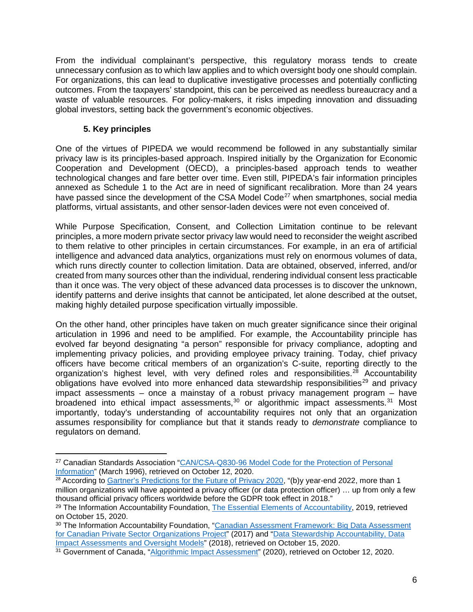From the individual complainant's perspective, this regulatory morass tends to create unnecessary confusion as to which law applies and to which oversight body one should complain. For organizations, this can lead to duplicative investigative processes and potentially conflicting outcomes. From the taxpayers' standpoint, this can be perceived as needless bureaucracy and a waste of valuable resources. For policy-makers, it risks impeding innovation and dissuading global investors, setting back the government's economic objectives.

## <span id="page-6-0"></span>**5. Key principles**

 $\overline{a}$ 

One of the virtues of PIPEDA we would recommend be followed in any substantially similar privacy law is its principles-based approach. Inspired initially by the Organization for Economic Cooperation and Development (OECD), a principles-based approach tends to weather technological changes and fare better over time. Even still, PIPEDA's fair information principles annexed as Schedule 1 to the Act are in need of significant recalibration. More than 24 years have passed since the development of the CSA Model Code<sup>[27](#page-6-1)</sup> when smartphones, social media platforms, virtual assistants, and other sensor-laden devices were not even conceived of.

While Purpose Specification, Consent, and Collection Limitation continue to be relevant principles, a more modern private sector privacy law would need to reconsider the weight ascribed to them relative to other principles in certain circumstances. For example, in an era of artificial intelligence and advanced data analytics, organizations must rely on enormous volumes of data, which runs directly counter to collection limitation. Data are obtained, observed, inferred, and/or created from many sources other than the individual, rendering individual consent less practicable than it once was. The very object of these advanced data processes is to discover the unknown, identify patterns and derive insights that cannot be anticipated, let alone described at the outset, making highly detailed purpose specification virtually impossible.

On the other hand, other principles have taken on much greater significance since their original articulation in 1996 and need to be amplified. For example, the Accountability principle has evolved far beyond designating "a person" responsible for privacy compliance, adopting and implementing privacy policies, and providing employee privacy training. Today, chief privacy officers have become critical members of an organization's C-suite, reporting directly to the organization's highest level, with very defined roles and responsibilities.<sup>[28](#page-6-2)</sup> Accountability obligations have evolved into more enhanced data stewardship responsibilities<sup>[29](#page-6-3)</sup> and privacy impact assessments – once a mainstay of a robust privacy management program – have broadened into ethical impact assessments,<sup>[30](#page-6-4)</sup> or algorithmic impact assessments.<sup>[31](#page-6-5)</sup> Most importantly, today's understanding of accountability requires not only that an organization assumes responsibility for compliance but that it stands ready to *demonstrate* compliance to regulators on demand.

<span id="page-6-1"></span><sup>27</sup> Canadian Standards Association ["CAN/CSA-Q830-96 Model Code for the Protection of Personal](http://www.afn.ca/uploads/files/nihbforum/info_and_privacy_doc_-csa_model_code_for_the_protection_of_personal_information.pdf)  [Information"](http://www.afn.ca/uploads/files/nihbforum/info_and_privacy_doc_-csa_model_code_for_the_protection_of_personal_information.pdf) (March 1996), retrieved on October 12, 2020.

<span id="page-6-2"></span><sup>&</sup>lt;sup>28</sup> According to [Gartner's Predictions for the Future of Privacy 2020,](https://www.gartner.com/smarterwithgartner/gartner-predicts-for-the-future-of-privacy-2020/) "(b)y year-end 2022, more than 1 million organizations will have appointed a privacy officer (or data protection officer) … up from only a few thousand official privacy officers worldwide before the GDPR took effect in 2018."

<span id="page-6-3"></span><sup>&</sup>lt;sup>29</sup> The Information Accountability Foundation, [The Essential Elements of Accountability,](https://b1f.827.myftpupload.com/wp-content/uploads/2020/04/Data-Stewardship-Elements-002-1.pdf) 2019, retrieved on October 15, 2020.

<span id="page-6-4"></span><sup>30</sup> The Information Accountability Foundation, ["Canadian Assessment Framework: Big Data Assessment](https://b1f.827.myftpupload.com/wp-content/uploads/2020/04/Canadian-Assessment-Framework-w-CA-organizations.pdf)  [for Canadian Private Sector Organizations Project"](https://b1f.827.myftpupload.com/wp-content/uploads/2020/04/Canadian-Assessment-Framework-w-CA-organizations.pdf) (2017) and ["Data Stewardship Accountability, Data](https://iapp.org/media/pdf/resource_center/Data_Stewardship_Accountability.pdf)  [Impact Assessments and Oversight Models"](https://iapp.org/media/pdf/resource_center/Data_Stewardship_Accountability.pdf) (2018), retrieved on October 15, 2020.

<span id="page-6-5"></span><sup>&</sup>lt;sup>31</sup> Government of Canada, ["Algorithmic Impact Assessment"](https://www.canada.ca/en/government/system/digital-government/digital-government-innovations/responsible-use-ai/algorithmic-impact-assessment.html) (2020), retrieved on October 12, 2020.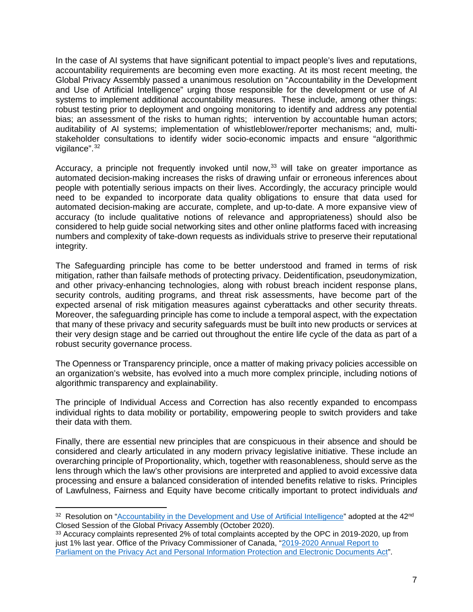In the case of AI systems that have significant potential to impact people's lives and reputations, accountability requirements are becoming even more exacting. At its most recent meeting, the Global Privacy Assembly passed a unanimous resolution on "Accountability in the Development and Use of Artificial Intelligence" urging those responsible for the development or use of AI systems to implement additional accountability measures. These include, among other things: robust testing prior to deployment and ongoing monitoring to identify and address any potential bias; an assessment of the risks to human rights; intervention by accountable human actors; auditability of AI systems; implementation of whistleblower/reporter mechanisms; and, multistakeholder consultations to identify wider socio-economic impacts and ensure "algorithmic vigilance".<sup>[32](#page-7-0)</sup>

Accuracy, a principle not frequently invoked until now,<sup>[33](#page-7-1)</sup> will take on greater importance as automated decision-making increases the risks of drawing unfair or erroneous inferences about people with potentially serious impacts on their lives. Accordingly, the accuracy principle would need to be expanded to incorporate data quality obligations to ensure that data used for automated decision-making are accurate, complete, and up-to-date. A more expansive view of accuracy (to include qualitative notions of relevance and appropriateness) should also be considered to help guide social networking sites and other online platforms faced with increasing numbers and complexity of take-down requests as individuals strive to preserve their reputational integrity.

The Safeguarding principle has come to be better understood and framed in terms of risk mitigation, rather than failsafe methods of protecting privacy. Deidentification, pseudonymization, and other privacy-enhancing technologies, along with robust breach incident response plans, security controls, auditing programs, and threat risk assessments, have become part of the expected arsenal of risk mitigation measures against cyberattacks and other security threats. Moreover, the safeguarding principle has come to include a temporal aspect, with the expectation that many of these privacy and security safeguards must be built into new products or services at their very design stage and be carried out throughout the entire life cycle of the data as part of a robust security governance process.

The Openness or Transparency principle, once a matter of making privacy policies accessible on an organization's website, has evolved into a much more complex principle, including notions of algorithmic transparency and explainability.

The principle of Individual Access and Correction has also recently expanded to encompass individual rights to data mobility or portability, empowering people to switch providers and take their data with them.

Finally, there are essential new principles that are conspicuous in their absence and should be considered and clearly articulated in any modern privacy legislative initiative. These include an overarching principle of Proportionality, which, together with reasonableness, should serve as the lens through which the law's other provisions are interpreted and applied to avoid excessive data processing and ensure a balanced consideration of intended benefits relative to risks. Principles of Lawfulness, Fairness and Equity have become critically important to protect individuals *and*

<span id="page-7-0"></span><sup>&</sup>lt;sup>32</sup> Resolution on ["Accountability in the Development and Use of Artificial Intelligence"](https://globalprivacyassembly.org/wp-content/uploads/2020/10/FINAL-GPA-Resolution-on-Accountability-in-the-Development-and-Use-of-AI-EN.pdf) adopted at the 42<sup>nd</sup> Closed Session of the Global Privacy Assembly (October 2020).

<span id="page-7-1"></span><sup>33</sup> Accuracy complaints represented 2% of total complaints accepted by the OPC in 2019-2020, up from just 1% last year. Office of the Privacy Commissioner of Canada, "2019-2020 Annual Report to [Parliament on the Privacy Act and Personal Information Protection and Electronic Documents Act"](https://www.priv.gc.ca/en/opc-actions-and-decisions/ar_index/201920/ar_201920/).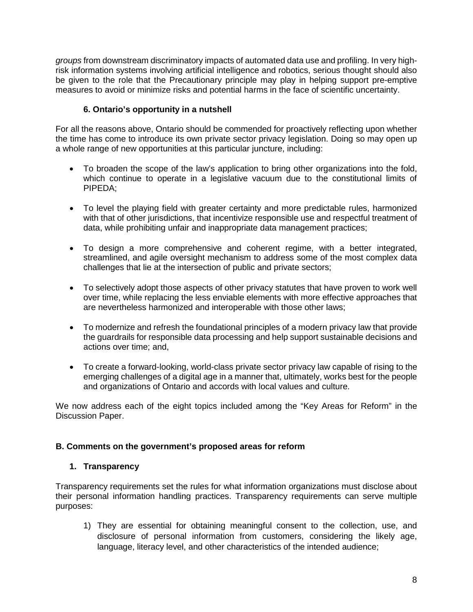*groups* from downstream discriminatory impacts of automated data use and profiling. In very highrisk information systems involving artificial intelligence and robotics, serious thought should also be given to the role that the Precautionary principle may play in helping support pre-emptive measures to avoid or minimize risks and potential harms in the face of scientific uncertainty.

## <span id="page-8-0"></span>**6. Ontario's opportunity in a nutshell**

For all the reasons above, Ontario should be commended for proactively reflecting upon whether the time has come to introduce its own private sector privacy legislation. Doing so may open up a whole range of new opportunities at this particular juncture, including:

- To broaden the scope of the law's application to bring other organizations into the fold, which continue to operate in a legislative vacuum due to the constitutional limits of PIPEDA;
- To level the playing field with greater certainty and more predictable rules, harmonized with that of other jurisdictions, that incentivize responsible use and respectful treatment of data, while prohibiting unfair and inappropriate data management practices;
- To design a more comprehensive and coherent regime, with a better integrated, streamlined, and agile oversight mechanism to address some of the most complex data challenges that lie at the intersection of public and private sectors;
- To selectively adopt those aspects of other privacy statutes that have proven to work well over time, while replacing the less enviable elements with more effective approaches that are nevertheless harmonized and interoperable with those other laws;
- To modernize and refresh the foundational principles of a modern privacy law that provide the guardrails for responsible data processing and help support sustainable decisions and actions over time; and,
- To create a forward-looking, world-class private sector privacy law capable of rising to the emerging challenges of a digital age in a manner that, ultimately, works best for the people and organizations of Ontario and accords with local values and culture.

We now address each of the eight topics included among the "Key Areas for Reform" in the Discussion Paper.

### <span id="page-8-1"></span>**B. Comments on the government's proposed areas for reform**

### <span id="page-8-2"></span>**1. Transparency**

Transparency requirements set the rules for what information organizations must disclose about their personal information handling practices. Transparency requirements can serve multiple purposes:

1) They are essential for obtaining meaningful consent to the collection, use, and disclosure of personal information from customers, considering the likely age, language, literacy level, and other characteristics of the intended audience;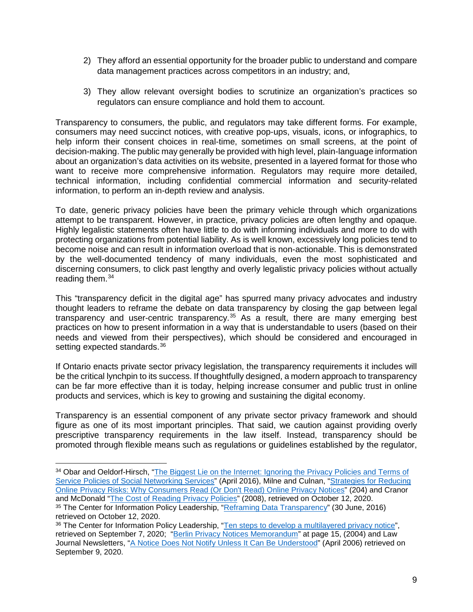- 2) They afford an essential opportunity for the broader public to understand and compare data management practices across competitors in an industry; and,
- 3) They allow relevant oversight bodies to scrutinize an organization's practices so regulators can ensure compliance and hold them to account.

Transparency to consumers, the public, and regulators may take different forms. For example, consumers may need succinct notices, with creative pop-ups, visuals, icons, or infographics, to help inform their consent choices in real-time, sometimes on small screens, at the point of decision-making. The public may generally be provided with high level, plain-language information about an organization's data activities on its website, presented in a layered format for those who want to receive more comprehensive information. Regulators may require more detailed, technical information, including confidential commercial information and security-related information, to perform an in-depth review and analysis.

To date, generic privacy policies have been the primary vehicle through which organizations attempt to be transparent. However, in practice, privacy policies are often lengthy and opaque. Highly legalistic statements often have little to do with informing individuals and more to do with protecting organizations from potential liability. As is well known, excessively long policies tend to become noise and can result in information overload that is non-actionable. This is demonstrated by the well-documented tendency of many individuals, even the most sophisticated and discerning consumers, to click past lengthy and overly legalistic privacy policies without actually reading them.<sup>[34](#page-9-0)</sup>

This "transparency deficit in the digital age" has spurred many privacy advocates and industry thought leaders to reframe the debate on data transparency by closing the gap between legal transparency and user-centric transparency.<sup>[35](#page-9-1)</sup> As a result, there are many emerging best practices on how to present information in a way that is understandable to users (based on their needs and viewed from their perspectives), which should be considered and encouraged in setting expected standards.<sup>[36](#page-9-2)</sup>

If Ontario enacts private sector privacy legislation, the transparency requirements it includes will be the critical lynchpin to its success. If thoughtfully designed, a modern approach to transparency can be far more effective than it is today, helping increase consumer and public trust in online products and services, which is key to growing and sustaining the digital economy.

Transparency is an essential component of any private sector privacy framework and should figure as one of its most important principles. That said, we caution against providing overly prescriptive transparency requirements in the law itself. Instead, transparency should be promoted through flexible means such as regulations or guidelines established by the regulator,

<span id="page-9-0"></span><sup>&</sup>lt;sup>34</sup> Obar and Oeldorf-Hirsch, "The Biggest Lie on the Internet: Ignoring the Privacy Policies and Terms of [Service Policies of Social Networking Services"](https://papers.ssrn.com/sol3/papers.cfm?abstract_id=2757465) (April 2016), Milne and Culnan, ["Strategies for Reducing](https://www.sciencedirect.com/science/article/abs/pii/S1094996804701085)  [Online Privacy Risks: Why Consumers Read \(Or Don't Read\) Online Privacy Notices"](https://www.sciencedirect.com/science/article/abs/pii/S1094996804701085) (204) and Cranor and McDonald ["The Cost of Reading Privacy Policies"](https://lorrie.cranor.org/pubs/readingPolicyCost-authorDraft.pdf) (2008), retrieved on October 12, 2020.

<span id="page-9-1"></span><sup>35</sup> The Center for Information Policy Leadership, ["Reframing Data Transparency"](https://www.informationpolicycentre.com/uploads/5/7/1/0/57104281/reframing_data_transparency.pdf) (30 June, 2016) retrieved on October 12, 2020.

<span id="page-9-2"></span><sup>36</sup> The Center for Information Policy Leadership, ["Ten steps to develop a multilayered privacy notice"](https://www.huntonak.com/files/Publication/37a71d77-14c4-4361-a62b-89f67feb544f/Presentation/PublicationAttachment/e7ffca9d-da66-4ed6-a445-f8fdc0b97e22/Ten_Steps_whitepaper.pdf), retrieved on September 7, 2020; ["Berlin Privacy Notices Memorandum"](http://mddb.apec.org/documents/2005/ECSG/DPM1/05_ecsg_dpm1_003.pdf) at page 15, (2004) and Law Journal Newsletters, ["A Notice Does Not Notify Unless It Can Be Understood"](https://www.lawjournalnewsletters.com/sites/lawjournalnewsletters/2006/04/19/a-notice-does-not-notify-unless-it-can-be-understood/?slreturn=20200809110206) (April 2006) retrieved on September 9, 2020.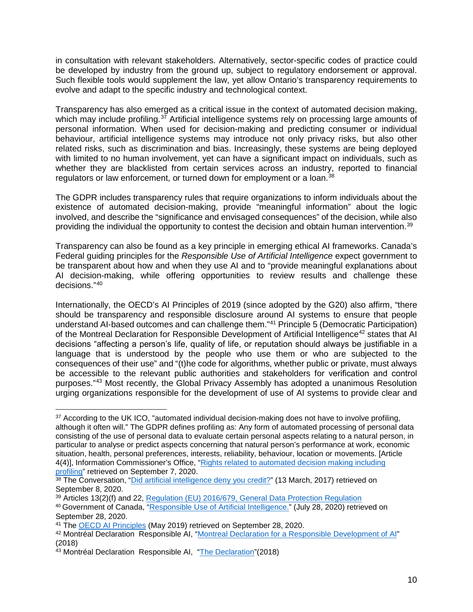in consultation with relevant stakeholders. Alternatively, sector-specific codes of practice could be developed by industry from the ground up, subject to regulatory endorsement or approval. Such flexible tools would supplement the law, yet allow Ontario's transparency requirements to evolve and adapt to the specific industry and technological context.

Transparency has also emerged as a critical issue in the context of automated decision making, which may include profiling.<sup>[37](#page-10-0)</sup> Artificial intelligence systems rely on processing large amounts of personal information. When used for decision-making and predicting consumer or individual behaviour, artificial intelligence systems may introduce not only privacy risks, but also other related risks, such as discrimination and bias. Increasingly, these systems are being deployed with limited to no human involvement, yet can have a significant impact on individuals, such as whether they are blacklisted from certain services across an industry, reported to financial regulators or law enforcement, or turned down for employment or a loan.<sup>[38](#page-10-1)</sup>

The GDPR includes transparency rules that require organizations to inform individuals about the existence of automated decision-making, provide "meaningful information" about the logic involved, and describe the "significance and envisaged consequences" of the decision, while also providing the individual the opportunity to contest the decision and obtain human intervention.[39](#page-10-2)

Transparency can also be found as a key principle in emerging ethical AI frameworks. Canada's Federal guiding principles for the *Responsible Use of Artificial Intelligence* expect government to be transparent about how and when they use AI and to "provide meaningful explanations about AI decision-making, while offering opportunities to review results and challenge these decisions."[40](#page-10-3)

Internationally, the OECD's AI Principles of 2019 (since adopted by the G20) also affirm, "there should be transparency and responsible disclosure around AI systems to ensure that people understand AI-based outcomes and can challenge them."[41](#page-10-4) Principle 5 (Democratic Participation) of the Montreal Declaration for Responsible Development of Artificial Intelligence<sup>[42](#page-10-5)</sup> states that AI decisions "affecting a person's life, quality of life, or reputation should always be justifiable in a language that is understood by the people who use them or who are subjected to the consequences of their use" and "(t)he code for algorithms, whether public or private, must always be accessible to the relevant public authorities and stakeholders for verification and control purposes.["43](#page-10-6) Most recently, the Global Privacy Assembly has adopted a unanimous Resolution urging organizations responsible for the development of use of AI systems to provide clear and

<span id="page-10-0"></span> $\overline{a}$ <sup>37</sup> According to the UK ICO, "automated individual decision-making does not have to involve profiling, although it often will." The GDPR defines profiling as: Any form of automated processing of personal data consisting of the use of personal data to evaluate certain personal aspects relating to a natural person, in particular to analyse or predict aspects concerning that natural person's performance at work, economic situation, health, personal preferences, interests, reliability, behaviour, location or movements. [Article 4(4)], Information Commissioner's Office, ["Rights related to automated decision making including](https://ico.org.uk/for-organisations/guide-to-data-protection/guide-to-the-general-data-protection-regulation-gdpr/individual-rights/rights-related-to-automated-decision-making-including-profiling/)  [profiling"](https://ico.org.uk/for-organisations/guide-to-data-protection/guide-to-the-general-data-protection-regulation-gdpr/individual-rights/rights-related-to-automated-decision-making-including-profiling/) retrieved on September 7, 2020.

<span id="page-10-1"></span><sup>38</sup> The Conversation, ["Did artificial intelligence deny you](https://theconversation.com/did-artificial-intelligence-deny-you-credit-73259) credit?" (13 March, 2017) retrieved on September 8, 2020.

<span id="page-10-2"></span><sup>39</sup> Articles 13(2)(f) and 22, [Regulation \(EU\) 2016/679, General Data Protection Regulation](https://gdpr-info.eu/)

<span id="page-10-3"></span><sup>40</sup> Government of Canada, ["Responsible Use of Artificial Intelligence."](https://www.canada.ca/en/government/system/digital-government/digital-government-innovations/responsible-use-ai.html#toc1) (July 28, 2020) retrieved on September 28, 2020.

<span id="page-10-4"></span><sup>41</sup> The [OECD AI Principles](https://www.oecd.org/going-digital/ai/principles/) (May 2019) retrieved on September 28, 2020.

<span id="page-10-5"></span><sup>42</sup> Montréal Declaration Responsible AI, ["Montreal Declaration for a Responsible](https://5dcfa4bd-f73a-4de5-94d8-c010ee777609.filesusr.com/ugd/ebc3a3_5c89e007e0de440097cef36dcd69c7b0.pdf) Development of AI" (2018)

<span id="page-10-6"></span><sup>&</sup>lt;sup>43</sup> Montréal Declaration Responsible AI, ["The Declaration"](https://www.montrealdeclaration-responsibleai.com/the-declaration)(2018)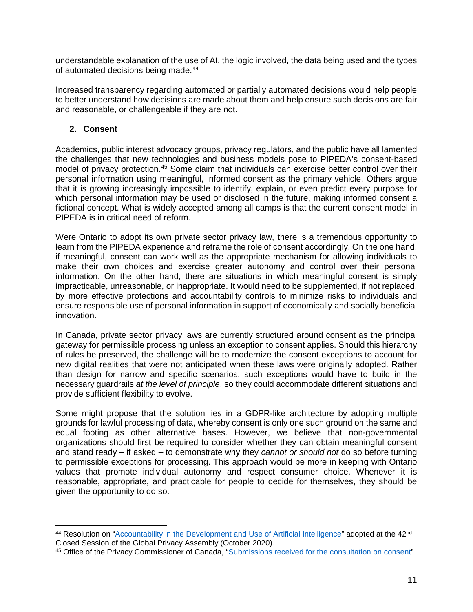understandable explanation of the use of AI, the logic involved, the data being used and the types of automated decisions being made.<sup>[44](#page-11-1)</sup>

Increased transparency regarding automated or partially automated decisions would help people to better understand how decisions are made about them and help ensure such decisions are fair and reasonable, or challengeable if they are not.

## <span id="page-11-0"></span>**2. Consent**

Academics, public interest advocacy groups, privacy regulators, and the public have all lamented the challenges that new technologies and business models pose to PIPEDA's consent-based model of privacy protection.<sup>[45](#page-11-2)</sup> Some claim that individuals can exercise better control over their personal information using meaningful, informed consent as the primary vehicle. Others argue that it is growing increasingly impossible to identify, explain, or even predict every purpose for which personal information may be used or disclosed in the future, making informed consent a fictional concept. What is widely accepted among all camps is that the current consent model in PIPEDA is in critical need of reform.

Were Ontario to adopt its own private sector privacy law, there is a tremendous opportunity to learn from the PIPEDA experience and reframe the role of consent accordingly. On the one hand, if meaningful, consent can work well as the appropriate mechanism for allowing individuals to make their own choices and exercise greater autonomy and control over their personal information. On the other hand, there are situations in which meaningful consent is simply impracticable, unreasonable, or inappropriate. It would need to be supplemented, if not replaced, by more effective protections and accountability controls to minimize risks to individuals and ensure responsible use of personal information in support of economically and socially beneficial innovation.

In Canada, private sector privacy laws are currently structured around consent as the principal gateway for permissible processing unless an exception to consent applies. Should this hierarchy of rules be preserved, the challenge will be to modernize the consent exceptions to account for new digital realities that were not anticipated when these laws were originally adopted. Rather than design for narrow and specific scenarios, such exceptions would have to build in the necessary guardrails *at the level of principle*, so they could accommodate different situations and provide sufficient flexibility to evolve.

Some might propose that the solution lies in a GDPR-like architecture by adopting multiple grounds for lawful processing of data, whereby consent is only one such ground on the same and equal footing as other alternative bases. However, we believe that non-governmental organizations should first be required to consider whether they can obtain meaningful consent and stand ready – if asked – to demonstrate why they *cannot or should not* do so before turning to permissible exceptions for processing. This approach would be more in keeping with Ontario values that promote individual autonomy and respect consumer choice. Whenever it is reasonable, appropriate, and practicable for people to decide for themselves, they should be given the opportunity to do so.

<span id="page-11-1"></span> $\overline{a}$ 44 Resolution on ["Accountability in the Development and Use of Artificial Intelligence"](https://globalprivacyassembly.org/wp-content/uploads/2020/10/FINAL-GPA-Resolution-on-Accountability-in-the-Development-and-Use-of-AI-EN.pdf) adopted at the 42<sup>nd</sup> Closed Session of the Global Privacy Assembly (October 2020).

<span id="page-11-2"></span><sup>45</sup> Office of the Privacy Commissioner of Canada, ["Submissions received for the consultation on consent"](https://www.priv.gc.ca/en/about-the-opc/what-we-do/consultations/completed-consultations/consultation-on-consent-under-pipeda/submissions-received-for-the-consultation-on-consent/)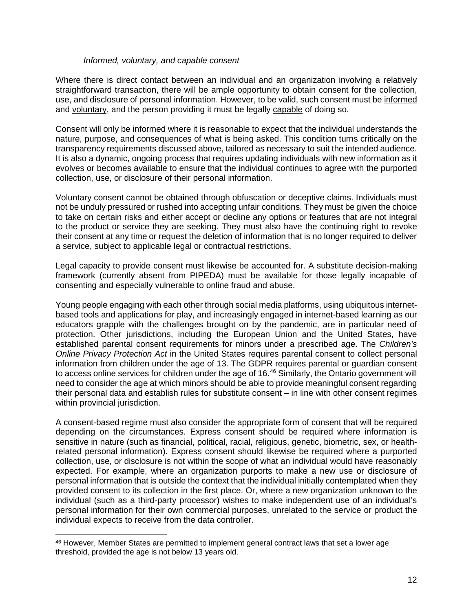#### *Informed, voluntary, and capable consent*

Where there is direct contact between an individual and an organization involving a relatively straightforward transaction, there will be ample opportunity to obtain consent for the collection, use, and disclosure of personal information. However, to be valid, such consent must be informed and voluntary, and the person providing it must be legally capable of doing so.

Consent will only be informed where it is reasonable to expect that the individual understands the nature, purpose, and consequences of what is being asked. This condition turns critically on the transparency requirements discussed above, tailored as necessary to suit the intended audience. It is also a dynamic, ongoing process that requires updating individuals with new information as it evolves or becomes available to ensure that the individual continues to agree with the purported collection, use, or disclosure of their personal information.

Voluntary consent cannot be obtained through obfuscation or deceptive claims. Individuals must not be unduly pressured or rushed into accepting unfair conditions. They must be given the choice to take on certain risks and either accept or decline any options or features that are not integral to the product or service they are seeking. They must also have the continuing right to revoke their consent at any time or request the deletion of information that is no longer required to deliver a service, subject to applicable legal or contractual restrictions.

Legal capacity to provide consent must likewise be accounted for. A substitute decision-making framework (currently absent from PIPEDA) must be available for those legally incapable of consenting and especially vulnerable to online fraud and abuse.

Young people engaging with each other through social media platforms, using ubiquitous internetbased tools and applications for play, and increasingly engaged in internet-based learning as our educators grapple with the challenges brought on by the pandemic, are in particular need of protection. Other jurisdictions, including the European Union and the United States, have established parental consent requirements for minors under a prescribed age. The *Children's Online Privacy Protection Act* in the United States requires parental consent to collect personal information from children under the age of 13. The GDPR requires parental or guardian consent to access online services for children under the age of 16.<sup>[46](#page-12-0)</sup> Similarly, the Ontario government will need to consider the age at which minors should be able to provide meaningful consent regarding their personal data and establish rules for substitute consent – in line with other consent regimes within provincial jurisdiction.

A consent-based regime must also consider the appropriate form of consent that will be required depending on the circumstances. Express consent should be required where information is sensitive in nature (such as financial, political, racial, religious, genetic, biometric, sex, or healthrelated personal information). Express consent should likewise be required where a purported collection, use, or disclosure is not within the scope of what an individual would have reasonably expected. For example, where an organization purports to make a new use or disclosure of personal information that is outside the context that the individual initially contemplated when they provided consent to its collection in the first place. Or, where a new organization unknown to the individual (such as a third-party processor) wishes to make independent use of an individual's personal information for their own commercial purposes, unrelated to the service or product the individual expects to receive from the data controller.

<span id="page-12-0"></span><sup>46</sup> However, Member States are permitted to implement general contract laws that set a lower age threshold, provided the age is not below 13 years old.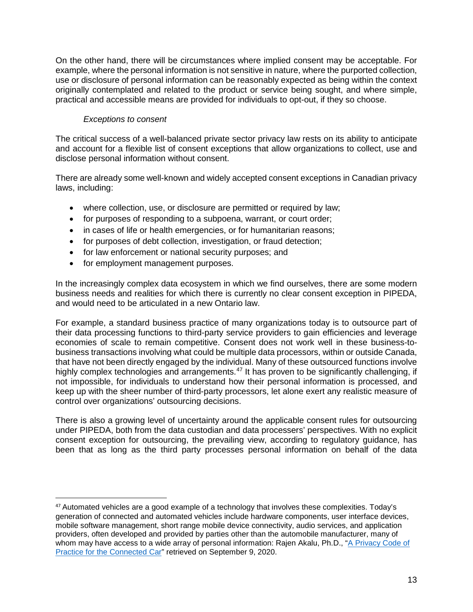On the other hand, there will be circumstances where implied consent may be acceptable. For example, where the personal information is not sensitive in nature, where the purported collection, use or disclosure of personal information can be reasonably expected as being within the context originally contemplated and related to the product or service being sought, and where simple, practical and accessible means are provided for individuals to opt-out, if they so choose.

## *Exceptions to consent*

The critical success of a well-balanced private sector privacy law rests on its ability to anticipate and account for a flexible list of consent exceptions that allow organizations to collect, use and disclose personal information without consent.

There are already some well-known and widely accepted consent exceptions in Canadian privacy laws, including:

- where collection, use, or disclosure are permitted or required by law;
- for purposes of responding to a subpoena, warrant, or court order;
- in cases of life or health emergencies, or for humanitarian reasons;
- for purposes of debt collection, investigation, or fraud detection;
- for law enforcement or national security purposes; and
- for employment management purposes.

 $\overline{a}$ 

In the increasingly complex data ecosystem in which we find ourselves, there are some modern business needs and realities for which there is currently no clear consent exception in PIPEDA, and would need to be articulated in a new Ontario law.

For example, a standard business practice of many organizations today is to outsource part of their data processing functions to third-party service providers to gain efficiencies and leverage economies of scale to remain competitive. Consent does not work well in these business-tobusiness transactions involving what could be multiple data processors, within or outside Canada, that have not been directly engaged by the individual. Many of these outsourced functions involve highly complex technologies and arrangements.<sup>[47](#page-13-0)</sup> It has proven to be significantly challenging, if not impossible, for individuals to understand how their personal information is processed, and keep up with the sheer number of third-party processors, let alone exert any realistic measure of control over organizations' outsourcing decisions.

There is also a growing level of uncertainty around the applicable consent rules for outsourcing under PIPEDA, both from the data custodian and data processers' perspectives. With no explicit consent exception for outsourcing, the prevailing view, according to regulatory guidance, has been that as long as the third party processes personal information on behalf of the data

<span id="page-13-0"></span> $47$  Automated vehicles are a good example of a technology that involves these complexities. Today's generation of connected and automated vehicles include hardware components, user interface devices, mobile software management, short range mobile device connectivity, audio services, and application providers, often developed and provided by parties other than the automobile manufacturer, many of whom may have access to a wide array of personal information: Rajen Akalu, Ph.D., ["A Privacy Code of](https://www.privacyandtheconnectedcar.com/uploads/5/8/8/6/58866401/akalu-code_of_practice_submitted__5.24.2019_.pdf)  [Practice for the Connected Car"](https://www.privacyandtheconnectedcar.com/uploads/5/8/8/6/58866401/akalu-code_of_practice_submitted__5.24.2019_.pdf) retrieved on September 9, 2020.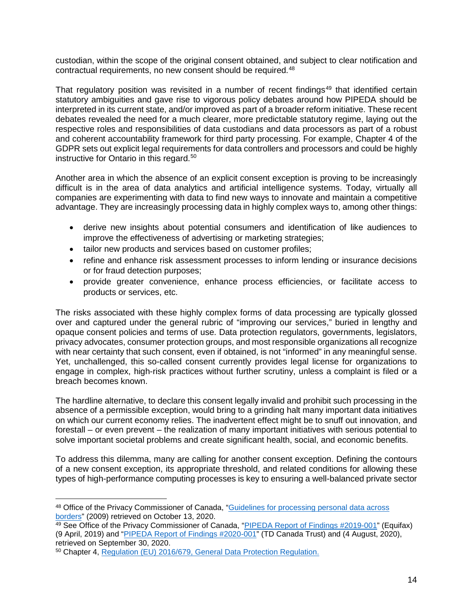custodian, within the scope of the original consent obtained, and subject to clear notification and contractual requirements, no new consent should be required.<sup>[48](#page-14-0)</sup>

That regulatory position was revisited in a number of recent findings<sup>[49](#page-14-1)</sup> that identified certain statutory ambiguities and gave rise to vigorous policy debates around how PIPEDA should be interpreted in its current state, and/or improved as part of a broader reform initiative. These recent debates revealed the need for a much clearer, more predictable statutory regime, laying out the respective roles and responsibilities of data custodians and data processors as part of a robust and coherent accountability framework for third party processing. For example, Chapter 4 of the GDPR sets out explicit legal requirements for data controllers and processors and could be highly instructive for Ontario in this regard.<sup>[50](#page-14-2)</sup>

Another area in which the absence of an explicit consent exception is proving to be increasingly difficult is in the area of data analytics and artificial intelligence systems. Today, virtually all companies are experimenting with data to find new ways to innovate and maintain a competitive advantage. They are increasingly processing data in highly complex ways to, among other things:

- derive new insights about potential consumers and identification of like audiences to improve the effectiveness of advertising or marketing strategies;
- tailor new products and services based on customer profiles;
- refine and enhance risk assessment processes to inform lending or insurance decisions or for fraud detection purposes;
- provide greater convenience, enhance process efficiencies, or facilitate access to products or services, etc.

The risks associated with these highly complex forms of data processing are typically glossed over and captured under the general rubric of "improving our services," buried in lengthy and opaque consent policies and terms of use. Data protection regulators, governments, legislators, privacy advocates, consumer protection groups, and most responsible organizations all recognize with near certainty that such consent, even if obtained, is not "informed" in any meaningful sense. Yet, unchallenged, this so-called consent currently provides legal license for organizations to engage in complex, high-risk practices without further scrutiny, unless a complaint is filed or a breach becomes known.

The hardline alternative, to declare this consent legally invalid and prohibit such processing in the absence of a permissible exception, would bring to a grinding halt many important data initiatives on which our current economy relies. The inadvertent effect might be to snuff out innovation, and forestall – or even prevent – the realization of many important initiatives with serious potential to solve important societal problems and create significant health, social, and economic benefits.

To address this dilemma, many are calling for another consent exception. Defining the contours of a new consent exception, its appropriate threshold, and related conditions for allowing these types of high-performance computing processes is key to ensuring a well-balanced private sector

<span id="page-14-0"></span> $\overline{a}$ <sup>48</sup> Office of the Privacy Commissioner of Canada, ["Guidelines for processing personal data across](https://www.priv.gc.ca/en/privacy-topics/airports-and-borders/gl_dab_090127/)  [borders"](https://www.priv.gc.ca/en/privacy-topics/airports-and-borders/gl_dab_090127/) (2009) retrieved on October 13, 2020.

<span id="page-14-1"></span><sup>49</sup> See Office of the Privacy Commissioner of Canada, "PIPEDA [Report of Findings #2019-001"](https://www.priv.gc.ca/en/opc-actions-and-decisions/investigations/investigations-into-businesses/2019/pipeda-2019-001/) (Equifax) (9 April, 2019) and "PIPEDA [Report of Findings #2020-001"](https://www.priv.gc.ca/en/opc-actions-and-decisions/investigations/investigations-into-businesses/2020/pipeda-2020-001/) (TD Canada Trust) and (4 August, 2020), retrieved on September 30, 2020.

<span id="page-14-2"></span><sup>50</sup> Chapter 4, [Regulation \(EU\) 2016/679, General Data Protection Regulation.](https://gdpr-info.eu/)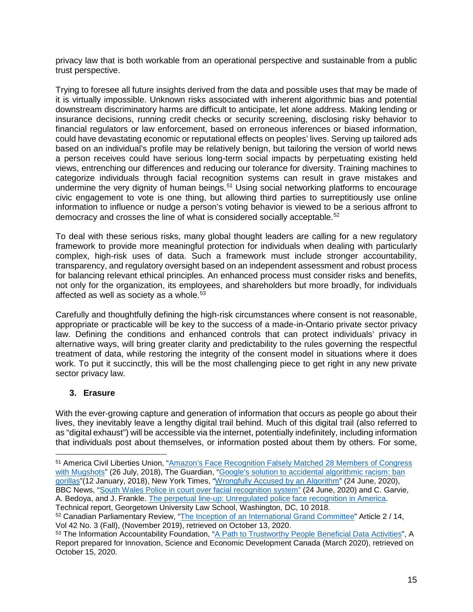privacy law that is both workable from an operational perspective and sustainable from a public trust perspective.

Trying to foresee all future insights derived from the data and possible uses that may be made of it is virtually impossible. Unknown risks associated with inherent algorithmic bias and potential downstream discriminatory harms are difficult to anticipate, let alone address. Making lending or insurance decisions, running credit checks or security screening, disclosing risky behavior to financial regulators or law enforcement, based on erroneous inferences or biased information, could have devastating economic or reputational effects on peoples' lives. Serving up tailored ads based on an individual's profile may be relatively benign, but tailoring the version of world news a person receives could have serious long-term social impacts by perpetuating existing held views, entrenching our differences and reducing our tolerance for diversity. Training machines to categorize individuals through facial recognition systems can result in grave mistakes and undermine the very dignity of human beings.<sup>[51](#page-15-1)</sup> Using social networking platforms to encourage civic engagement to vote is one thing, but allowing third parties to surreptitiously use online information to influence or nudge a person's voting behavior is viewed to be a serious affront to democracy and crosses the line of what is considered socially acceptable.<sup>[52](#page-15-2)</sup>

To deal with these serious risks, many global thought leaders are calling for a new regulatory framework to provide more meaningful protection for individuals when dealing with particularly complex, high-risk uses of data. Such a framework must include stronger accountability, transparency, and regulatory oversight based on an independent assessment and robust process for balancing relevant ethical principles. An enhanced process must consider risks and benefits, not only for the organization, its employees, and shareholders but more broadly, for individuals affected as well as society as a whole.<sup>[53](#page-15-3)</sup>

Carefully and thoughtfully defining the high-risk circumstances where consent is not reasonable, appropriate or practicable will be key to the success of a made-in-Ontario private sector privacy law. Defining the conditions and enhanced controls that can protect individuals' privacy in alternative ways, will bring greater clarity and predictability to the rules governing the respectful treatment of data, while restoring the integrity of the consent model in situations where it does work. To put it succinctly, this will be the most challenging piece to get right in any new private sector privacy law.

## <span id="page-15-0"></span>**3. Erasure**

 $\overline{a}$ 

With the ever-growing capture and generation of information that occurs as people go about their lives, they inevitably leave a lengthy digital trail behind. Much of this digital trail (also referred to as "digital exhaust") will be accessible via the internet, potentially indefinitely, including information that individuals post about themselves, or information posted about them by others. For some,

Technical report, Georgetown University Law School, Washington, DC, 10 2018.

<span id="page-15-1"></span><sup>51</sup> America Civil Liberties Union, ["Amazon's Face Recognition Falsely Matched 28 Members of Congress](https://www.aclu.org/blog/privacy-technology/surveillance-technologies/amazons-face-recognition-falsely-matched-28)  [with Mugshots"](https://www.aclu.org/blog/privacy-technology/surveillance-technologies/amazons-face-recognition-falsely-matched-28) (26 July, 2018), The Guardian, ["Google's solution to accidental algorithmic racism: ban](https://www.theguardian.com/technology/2018/jan/12/google-racism-ban-gorilla-black-people)  [gorillas"](https://www.theguardian.com/technology/2018/jan/12/google-racism-ban-gorilla-black-people)(12 January, 2018), New York Times, ["Wrongfully Accused by an Algorithm"](https://www.nytimes.com/2020/06/24/technology/facial-recognition-arrest.html) (24 June, 2020), BBC News, ["South Wales Police in court over](https://www.bbc.com/news/uk-wales-53166044) facial recognition system" (24 June, 2020) and C. Garvie, A. Bedoya, and J. Frankle. [The perpetual line-up: Unregulated police face recognition in America.](https://www.perpetuallineup.org/)

<span id="page-15-2"></span><sup>52</sup> Canadian Parliamentary Review, ["The Inception of an International Grand Committee"](http://www.revparlcan.ca/en/the-inception-of-an-international-grand-committee/) Article 2 / 14, Vol 42 No. 3 (Fall), (November 2019), retrieved on October 13, 2020.

<span id="page-15-3"></span><sup>53</sup> The Information Accountability Foundation, ["A Path to Trustworthy People Beneficial Data Activities"](https://b1f.827.myftpupload.com/wp-content/uploads/2020/04/People-Benefical-Data-Report-and-Recomendations-IAF-v3.pdf), A Report prepared for Innovation, Science and Economic Development Canada (March 2020), retrieved on October 15, 2020.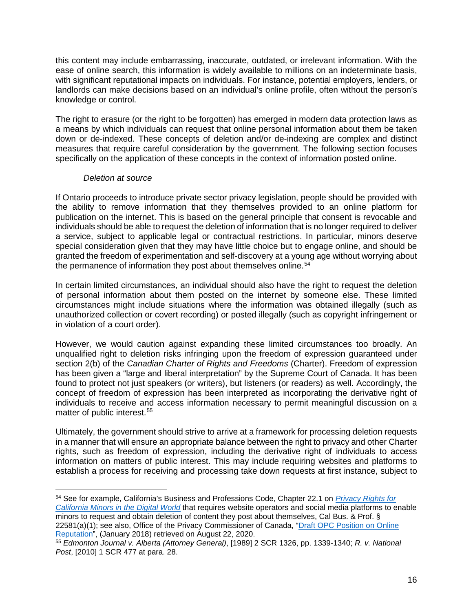this content may include embarrassing, inaccurate, outdated, or irrelevant information. With the ease of online search, this information is widely available to millions on an indeterminate basis, with significant reputational impacts on individuals. For instance, potential employers, lenders, or landlords can make decisions based on an individual's online profile, often without the person's knowledge or control.

The right to erasure (or the right to be forgotten) has emerged in modern data protection laws as a means by which individuals can request that online personal information about them be taken down or de-indexed. These concepts of deletion and/or de-indexing are complex and distinct measures that require careful consideration by the government. The following section focuses specifically on the application of these concepts in the context of information posted online.

### *Deletion at source*

If Ontario proceeds to introduce private sector privacy legislation, people should be provided with the ability to remove information that they themselves provided to an online platform for publication on the internet. This is based on the general principle that consent is revocable and individuals should be able to request the deletion of information that is no longer required to deliver a service, subject to applicable legal or contractual restrictions. In particular, minors deserve special consideration given that they may have little choice but to engage online, and should be granted the freedom of experimentation and self-discovery at a young age without worrying about the permanence of information they post about themselves online.<sup>[54](#page-16-0)</sup>

In certain limited circumstances, an individual should also have the right to request the deletion of personal information about them posted on the internet by someone else. These limited circumstances might include situations where the information was obtained illegally (such as unauthorized collection or covert recording) or posted illegally (such as copyright infringement or in violation of a court order).

However, we would caution against expanding these limited circumstances too broadly. An unqualified right to deletion risks infringing upon the freedom of expression guaranteed under section 2(b) of the *Canadian Charter of Rights and Freedoms* (Charter). Freedom of expression has been given a "large and liberal interpretation" by the Supreme Court of Canada. It has been found to protect not just speakers (or writers), but listeners (or readers) as well. Accordingly, the concept of freedom of expression has been interpreted as incorporating the derivative right of individuals to receive and access information necessary to permit meaningful discussion on a matter of public interest.<sup>[55](#page-16-1)</sup>

Ultimately, the government should strive to arrive at a framework for processing deletion requests in a manner that will ensure an appropriate balance between the right to privacy and other Charter rights, such as freedom of expression, including the derivative right of individuals to access information on matters of public interest. This may include requiring websites and platforms to establish a process for receiving and processing take down requests at first instance, subject to

<span id="page-16-0"></span> $\overline{a}$ <sup>54</sup> See for example, California's Business and Professions Code, Chapter 22.1 on *[Privacy Rights for](http://leginfo.legislature.ca.gov/faces/codes_displaySection.xhtml?lawCode=BPC§ionNum=22581.)  [California Minors in the Digital World](http://leginfo.legislature.ca.gov/faces/codes_displaySection.xhtml?lawCode=BPC§ionNum=22581.)* that requires website operators and social media platforms to enable minors to request and obtain deletion of content they post about themselves, Cal Bus. & Prof. § 22581(a)(1); see also, Office of the Privacy Commissioner of Canada, ["Draft OPC Position on Online](https://www.priv.gc.ca/en/about-the-opc/what-we-do/consultations/completed-consultations/consultation-on-online-reputation/pos_or_201801/)  [Reputation"](https://www.priv.gc.ca/en/about-the-opc/what-we-do/consultations/completed-consultations/consultation-on-online-reputation/pos_or_201801/), (January 2018) retrieved on August 22, 2020.

<span id="page-16-1"></span><sup>55</sup> *Edmonton Journal v. Alberta (Attorney General)*, [1989] 2 SCR 1326, pp. 1339-1340; *R. v. National Post*, [2010] 1 SCR 477 at para. 28.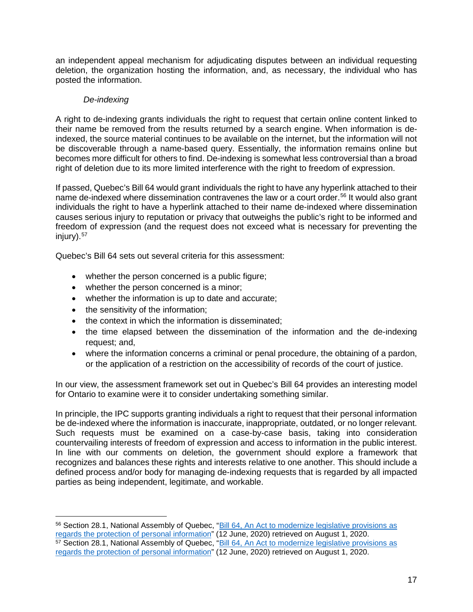an independent appeal mechanism for adjudicating disputes between an individual requesting deletion, the organization hosting the information, and, as necessary, the individual who has posted the information.

## *De-indexing*

A right to de-indexing grants individuals the right to request that certain online content linked to their name be removed from the results returned by a search engine. When information is deindexed, the source material continues to be available on the internet, but the information will not be discoverable through a name-based query. Essentially, the information remains online but becomes more difficult for others to find. De-indexing is somewhat less controversial than a broad right of deletion due to its more limited interference with the right to freedom of expression.

If passed, Quebec's Bill 64 would grant individuals the right to have any hyperlink attached to their name de-indexed where dissemination contravenes the law or a court order.<sup>[56](#page-17-0)</sup> It would also grant individuals the right to have a hyperlink attached to their name de-indexed where dissemination causes serious injury to reputation or privacy that outweighs the public's right to be informed and freedom of expression (and the request does not exceed what is necessary for preventing the injury)[.57](#page-17-1)

Quebec's Bill 64 sets out several criteria for this assessment:

- whether the person concerned is a public figure;
- whether the person concerned is a minor;
- whether the information is up to date and accurate;
- the sensitivity of the information;

 $\overline{a}$ 

- the context in which the information is disseminated;
- the time elapsed between the dissemination of the information and the de-indexing request; and,
- where the information concerns a criminal or penal procedure, the obtaining of a pardon, or the application of a restriction on the accessibility of records of the court of justice.

In our view, the assessment framework set out in Quebec's Bill 64 provides an interesting model for Ontario to examine were it to consider undertaking something similar.

In principle, the IPC supports granting individuals a right to request that their personal information be de-indexed where the information is inaccurate, inappropriate, outdated, or no longer relevant. Such requests must be examined on a case-by-case basis, taking into consideration countervailing interests of freedom of expression and access to information in the public interest. In line with our comments on deletion, the government should explore a framework that recognizes and balances these rights and interests relative to one another. This should include a defined process and/or body for managing de-indexing requests that is regarded by all impacted parties as being independent, legitimate, and workable.

<span id="page-17-1"></span><span id="page-17-0"></span><sup>56</sup> Section 28.1, National Assembly of Quebec, "Bill 64, [An Act to modernize legislative provisions as](http://www.assnat.qc.ca/en/travaux-parlementaires/projets-loi/projet-loi-64-42-1.html)  [regards the protection of personal information"](http://www.assnat.qc.ca/en/travaux-parlementaires/projets-loi/projet-loi-64-42-1.html) (12 June, 2020) retrieved on August 1, 2020. 57 Section 28.1, National Assembly of Quebec, "Bill 64, An Act to modernize legislative provisions as [regards the protection of personal information"](http://www.assnat.qc.ca/en/travaux-parlementaires/projets-loi/projet-loi-64-42-1.html) (12 June, 2020) retrieved on August 1, 2020.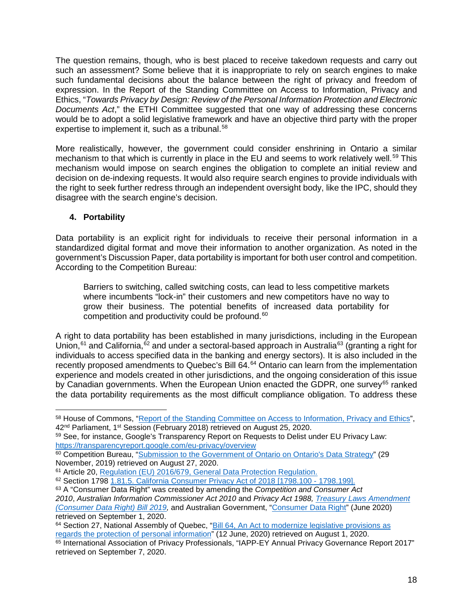The question remains, though, who is best placed to receive takedown requests and carry out such an assessment? Some believe that it is inappropriate to rely on search engines to make such fundamental decisions about the balance between the right of privacy and freedom of expression. In the Report of the Standing Committee on Access to Information, Privacy and Ethics, "*Towards Privacy by Design: Review of the Personal Information Protection and Electronic Documents Act*," the ETHI Committee suggested that one way of addressing these concerns would be to adopt a solid legislative framework and have an objective third party with the proper expertise to implement it, such as a tribunal.<sup>58</sup>

More realistically, however, the government could consider enshrining in Ontario a similar mechanism to that which is currently in place in the EU and seems to work relatively well.<sup>[59](#page-18-2)</sup> This mechanism would impose on search engines the obligation to complete an initial review and decision on de-indexing requests. It would also require search engines to provide individuals with the right to seek further redress through an independent oversight body, like the IPC, should they disagree with the search engine's decision.

## <span id="page-18-0"></span>**4. Portability**

 $\overline{a}$ 

Data portability is an explicit right for individuals to receive their personal information in a standardized digital format and move their information to another organization. As noted in the government's Discussion Paper, data portability is important for both user control and competition. According to the Competition Bureau:

Barriers to switching, called switching costs, can lead to less competitive markets where incumbents "lock-in" their customers and new competitors have no way to grow their business. The potential benefits of increased data portability for competition and productivity could be profound.<sup>[60](#page-18-3)</sup>

A right to data portability has been established in many jurisdictions, including in the European Union,  $61$  and California,  $62$  and under a sectoral-based approach in Australia<sup>[63](#page-18-6)</sup> (granting a right for individuals to access specified data in the banking and energy sectors). It is also included in the recently proposed amendments to Quebec's Bill [64](#page-18-7).<sup>64</sup> Ontario can learn from the implementation experience and models created in other jurisdictions, and the ongoing consideration of this issue by Canadian governments. When the European Union enacted the GDPR, one survey<sup>[65](#page-18-8)</sup> ranked the data portability requirements as the most difficult compliance obligation. To address these

<span id="page-18-1"></span><sup>58</sup> House of Commons, ["Report of the Standing Committee on Access to](https://www.ourcommons.ca/Content/Committee/421/ETHI/Reports/RP9690701/ethirp12/ethirp12-e.pdf) Information, Privacy and Ethics", 42<sup>nd</sup> Parliament, 1<sup>st</sup> Session (February 2018) retrieved on August 25, 2020.

<span id="page-18-2"></span><sup>59</sup> See, for instance, Google's Transparency Report on Requests to Delist under EU Privacy Law: <https://transparencyreport.google.com/eu-privacy/overview>

<span id="page-18-3"></span><sup>&</sup>lt;sup>60</sup> Competition Bureau, ["Submission to the Government of Ontario on Ontario's Data Strategy"](https://www.competitionbureau.gc.ca/eic/site/cb-bc.nsf/eng/04501.html) (29 November, 2019) retrieved on August 27, 2020.

<span id="page-18-4"></span><sup>61</sup> Article 20, [Regulation \(EU\) 2016/679, General Data Protection Regulation.](https://gdpr-info.eu/)

<span id="page-18-5"></span><sup>62</sup> Section 1798 [1.81.5. California Consumer Privacy Act of 2018 \[1798.100 -](http://leginfo.legislature.ca.gov/faces/codes_displayText.xhtml?division=3.&part=4.&lawCode=CIV&title=1.81.5) 1798.199].

<span id="page-18-6"></span><sup>63</sup> A "Consumer Data Right" was created by amending the *Competition and Consumer Act 2010*, *Australian Information Commissioner Act 2010* and *Privacy Act 1988, [Treasury Laws Amendment](https://www.aph.gov.au/Parliamentary_Business/Bills_Legislation/Bills_Search_Results/Result?bId=r6370)  [\(Consumer Data Right\) Bill 2019,](https://www.aph.gov.au/Parliamentary_Business/Bills_Legislation/Bills_Search_Results/Result?bId=r6370)* and Australian Government, ["Consumer Data Right"](https://treasury.gov.au/consumer-data-right) (June 2020) retrieved on September 1, 2020.

<span id="page-18-7"></span><sup>64</sup> Section 27, National Assembly of Quebec, "Bill 64, An Act to modernize legislative provisions as [regards the protection of personal information"](http://www.assnat.qc.ca/en/travaux-parlementaires/projets-loi/projet-loi-64-42-1.html) (12 June, 2020) retrieved on August 1, 2020.

<span id="page-18-8"></span><sup>65</sup> International Association of Privacy Professionals, "IAPP-EY Annual Privacy Governance Report 2017" retrieved on September 7, 2020.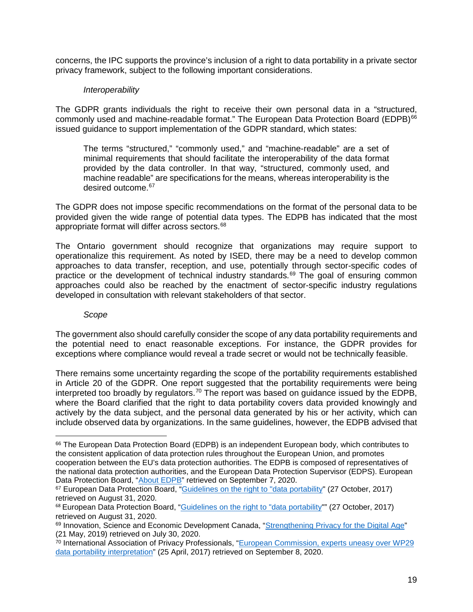concerns, the IPC supports the province's inclusion of a right to data portability in a private sector privacy framework, subject to the following important considerations.

#### *Interoperability*

The GDPR grants individuals the right to receive their own personal data in a "structured, commonly used and machine-readable format." The European Data Protection Board (EDPB)<sup>[66](#page-19-0)</sup> issued guidance to support implementation of the GDPR standard, which states:

The terms "structured," "commonly used," and "machine-readable" are a set of minimal requirements that should facilitate the interoperability of the data format provided by the data controller. In that way, "structured, commonly used, and machine readable" are specifications for the means, whereas interoperability is the desired outcome.<sup>[67](#page-19-1)</sup>

The GDPR does not impose specific recommendations on the format of the personal data to be provided given the wide range of potential data types. The EDPB has indicated that the most appropriate format will differ across sectors.<sup>[68](#page-19-2)</sup>

The Ontario government should recognize that organizations may require support to operationalize this requirement. As noted by ISED, there may be a need to develop common approaches to data transfer, reception, and use, potentially through sector-specific codes of practice or the development of technical industry standards.<sup>[69](#page-19-3)</sup> The goal of ensuring common approaches could also be reached by the enactment of sector-specific industry regulations developed in consultation with relevant stakeholders of that sector.

#### *Scope*

 $\overline{a}$ 

The government also should carefully consider the scope of any data portability requirements and the potential need to enact reasonable exceptions. For instance, the GDPR provides for exceptions where compliance would reveal a trade secret or would not be technically feasible.

There remains some uncertainty regarding the scope of the portability requirements established in Article 20 of the GDPR. One report suggested that the portability requirements were being interpreted too broadly by regulators.<sup>[70](#page-19-4)</sup> The report was based on guidance issued by the EDPB, where the Board clarified that the right to data portability covers data provided knowingly and actively by the data subject, and the personal data generated by his or her activity, which can include observed data by organizations. In the same guidelines, however, the EDPB advised that

<span id="page-19-0"></span><sup>66</sup> The European Data Protection Board (EDPB) is an independent European body, which contributes to the consistent application of data protection rules throughout the European Union, and promotes cooperation between the EU's data protection authorities. The EDPB is composed of representatives of the national data protection authorities, and the European Data Protection Supervisor (EDPS). European Data Protection Board, ["About EDPB"](https://edpb.europa.eu/about-edpb/about-edpb_en) retrieved on September 7, 2020.

<span id="page-19-1"></span><sup>67</sup> European Data Protection Board, ["Guidelines on the right to "data portability"](https://ec.europa.eu/newsroom/article29/item-detail.cfm?item_id=611233) (27 October, 2017) retrieved on August 31, 2020.

<span id="page-19-2"></span><sup>68</sup> European Data Protection Board, ["Guidelines on the right to "data portability"](https://ec.europa.eu/newsroom/article29/item-detail.cfm?item_id=611233)" (27 October, 2017) retrieved on August 31, 2020.

<span id="page-19-3"></span><sup>&</sup>lt;sup>69</sup> Innovation, Science and Economic Development Canada, ["Strengthening Privacy for the Digital Age"](https://www.ic.gc.ca/eic/site/062.nsf/eng/h_00107.html) (21 May, 2019) retrieved on July 30, 2020.

<span id="page-19-4"></span><sup>&</sup>lt;sup>70</sup> International Association of Privacy Professionals, "European Commission, experts uneasy over WP29 [data portability interpretation"](https://iapp.org/news/a/european-commission-experts-uneasy-over-wp29-data-portability-interpretation-1/) (25 April, 2017) retrieved on September 8, 2020.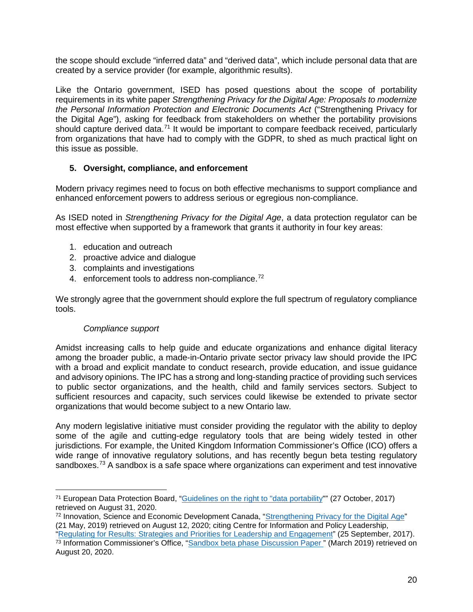the scope should exclude "inferred data" and "derived data", which include personal data that are created by a service provider (for example, algorithmic results).

Like the Ontario government, ISED has posed questions about the scope of portability requirements in its white paper *Strengthening Privacy for the Digital Age: Proposals to modernize the Personal Information Protection and Electronic Documents Act* ("Strengthening Privacy for the Digital Age"), asking for feedback from stakeholders on whether the portability provisions should capture derived data.<sup>[71](#page-20-1)</sup> It would be important to compare feedback received, particularly from organizations that have had to comply with the GDPR, to shed as much practical light on this issue as possible.

## <span id="page-20-0"></span>**5. Oversight, compliance, and enforcement**

Modern privacy regimes need to focus on both effective mechanisms to support compliance and enhanced enforcement powers to address serious or egregious non-compliance.

As ISED noted in *Strengthening Privacy for the Digital Age*, a data protection regulator can be most effective when supported by a framework that grants it authority in four key areas:

- 1. education and outreach
- 2. proactive advice and dialogue
- 3. complaints and investigations
- 4. enforcement tools to address non-compliance.<sup>[72](#page-20-2)</sup>

We strongly agree that the government should explore the full spectrum of regulatory compliance tools.

### *Compliance support*

 $\overline{a}$ 

Amidst increasing calls to help guide and educate organizations and enhance digital literacy among the broader public, a made-in-Ontario private sector privacy law should provide the IPC with a broad and explicit mandate to conduct research, provide education, and issue guidance and advisory opinions. The IPC has a strong and long-standing practice of providing such services to public sector organizations, and the health, child and family services sectors. Subject to sufficient resources and capacity, such services could likewise be extended to private sector organizations that would become subject to a new Ontario law.

Any modern legislative initiative must consider providing the regulator with the ability to deploy some of the agile and cutting-edge regulatory tools that are being widely tested in other jurisdictions. For example, the United Kingdom Information Commissioner's Office (ICO) offers a wide range of innovative regulatory solutions, and has recently begun beta testing regulatory sandboxes.<sup>[73](#page-20-3)</sup> A sandbox is a safe space where organizations can experiment and test innovative

<span id="page-20-1"></span><sup>71</sup> European Data Protection Board, ["Guidelines on the right to "data portability"](https://ec.europa.eu/newsroom/article29/item-detail.cfm?item_id=611233)" (27 October, 2017) retrieved on August 31, 2020.

<span id="page-20-2"></span><sup>72</sup> Innovation, Science and Economic Development Canada, ["Strengthening Privacy for the Digital Age"](https://www.ic.gc.ca/eic/site/062.nsf/eng/h_00107.html) (21 May, 2019) retrieved on August 12, 2020; citing Centre for Information and Policy Leadership,

<span id="page-20-3"></span>[<sup>&</sup>quot;Regulating for Results: Strategies and Priorities for Leadership and Engagement"](https://www.informationpolicycentre.com/uploads/5/7/1/0/57104281/cipl_final_draft_regulating_for_results_-_strategies_and_priorities_for_leadership_and_engagement.pdf) (25 September, 2017). <sup>73</sup> Information Commissioner's Office, "Sandbox beta phase Discussion Paper" (March 2019) retrieved on August 20, 2020.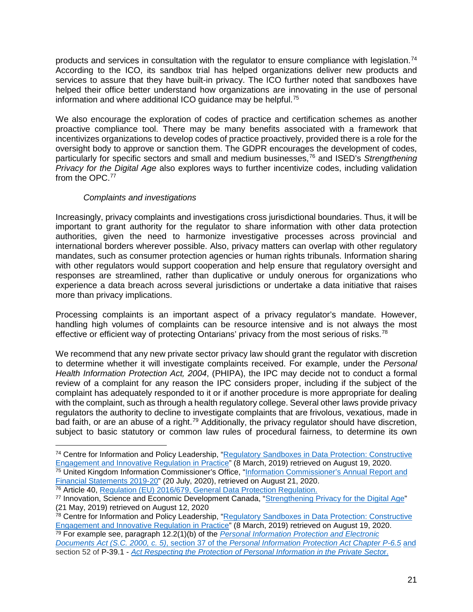products and services in consultation with the regulator to ensure compliance with legislation.[74](#page-21-0) According to the ICO, its sandbox trial has helped organizations deliver new products and services to assure that they have built-in privacy. The ICO further noted that sandboxes have helped their office better understand how organizations are innovating in the use of personal information and where additional ICO quidance may be helpful.<sup>[75](#page-21-1)</sup>

We also encourage the exploration of codes of practice and certification schemes as another proactive compliance tool. There may be many benefits associated with a framework that incentivizes organizations to develop codes of practice proactively, provided there is a role for the oversight body to approve or sanction them. The GDPR encourages the development of codes, particularly for specific sectors and small and medium businesses,[76](#page-21-2) and ISED's *Strengthening Privacy for the Digital Age* also explores ways to further incentivize codes, including validation from the OPC.<sup>[77](#page-21-3)</sup>

## *Complaints and investigations*

 $\overline{a}$ 

Increasingly, privacy complaints and investigations cross jurisdictional boundaries. Thus, it will be important to grant authority for the regulator to share information with other data protection authorities, given the need to harmonize investigative processes across provincial and international borders wherever possible. Also, privacy matters can overlap with other regulatory mandates, such as consumer protection agencies or human rights tribunals. Information sharing with other regulators would support cooperation and help ensure that regulatory oversight and responses are streamlined, rather than duplicative or unduly onerous for organizations who experience a data breach across several jurisdictions or undertake a data initiative that raises more than privacy implications.

Processing complaints is an important aspect of a privacy regulator's mandate. However, handling high volumes of complaints can be resource intensive and is not always the most effective or efficient way of protecting Ontarians' privacy from the most serious of risks.<sup>[78](#page-21-4)</sup>

We recommend that any new private sector privacy law should grant the regulator with discretion to determine whether it will investigate complaints received. For example, under the *Personal Health Information Protection Act, 2004*, (PHIPA), the IPC may decide not to conduct a formal review of a complaint for any reason the IPC considers proper, including if the subject of the complaint has adequately responded to it or if another procedure is more appropriate for dealing with the complaint, such as through a health regulatory college. Several other laws provide privacy regulators the authority to decline to investigate complaints that are frivolous, vexatious, made in bad faith, or are an abuse of a right.<sup>[79](#page-21-5)</sup> Additionally, the privacy regulator should have discretion, subject to basic statutory or common law rules of procedural fairness, to determine its own

<span id="page-21-1"></span><span id="page-21-0"></span><sup>74</sup> Centre for Information and Policy Leadership, ["Regulatory Sandboxes in Data Protection: Constructive](https://www.informationpolicycentre.com/uploads/5/7/1/0/57104281/cipl_white_paper_on_regulatory_sandboxes_in_data_protection_-_constructive_engagement_and_innovative_regulation_in_practice__8_march_2019_.pdf)  [Engagement and Innovative Regulation in Practice"](https://www.informationpolicycentre.com/uploads/5/7/1/0/57104281/cipl_white_paper_on_regulatory_sandboxes_in_data_protection_-_constructive_engagement_and_innovative_regulation_in_practice__8_march_2019_.pdf) (8 March, 2019) retrieved on August 19, 2020. <sup>75</sup> United Kingdom Information Commissioner's Office, ["Information Commissioner's Annual Report and](https://ico.org.uk/media/about-the-ico/documents/2618021/annual-report-2019-20-v83-certified.pdf)  [Financial Statements 2019-20"](https://ico.org.uk/media/about-the-ico/documents/2618021/annual-report-2019-20-v83-certified.pdf) (20 July, 2020), retrieved on August 21, 2020. <sup>76</sup> Article 40, [Regulation \(EU\) 2016/679, General Data Protection Regulation.](https://gdpr-info.eu/)

<span id="page-21-2"></span>

<span id="page-21-3"></span><sup>77</sup> Innovation, Science and Economic Development Canada, ["Strengthening Privacy for the Digital Age"](https://www.ic.gc.ca/eic/site/062.nsf/eng/h_00107.html) (21 May, 2019) retrieved on August 12, 2020

<span id="page-21-4"></span><sup>78</sup> Centre for Information and Policy Leadership, ["Regulatory Sandboxes in Data Protection: Constructive](https://www.informationpolicycentre.com/uploads/5/7/1/0/57104281/cipl_white_paper_on_regulatory_sandboxes_in_data_protection_-_constructive_engagement_and_innovative_regulation_in_practice__8_march_2019_.pdf)  [Engagement and Innovative Regulation in Practice"](https://www.informationpolicycentre.com/uploads/5/7/1/0/57104281/cipl_white_paper_on_regulatory_sandboxes_in_data_protection_-_constructive_engagement_and_innovative_regulation_in_practice__8_march_2019_.pdf) (8 March, 2019) retrieved on August 19, 2020. <sup>79</sup> For example see, paragraph 12.2(1)(b) of the *[Personal Information Protection and Electronic](https://laws-lois.justice.gc.ca/ENG/ACTS/P-8.6/page-2.html#docCont)* 

<span id="page-21-5"></span>*[Documents Act](https://laws-lois.justice.gc.ca/ENG/ACTS/P-8.6/page-2.html#docCont) (S.C. 2000, c. 5)*, section 37 of the *[Personal Information Protection Act Chapter P-6.5](https://www.qp.alberta.ca/1266.cfm?page=P06P5.cfm&leg_type=Acts&isbncln=9780779814381&display=html)* and section 52 of P-39.1 - *[Act Respecting the Protection of Personal Information in the Private Secto](http://legisquebec.gouv.qc.ca/en/showdoc/cs/P-39.1)*r.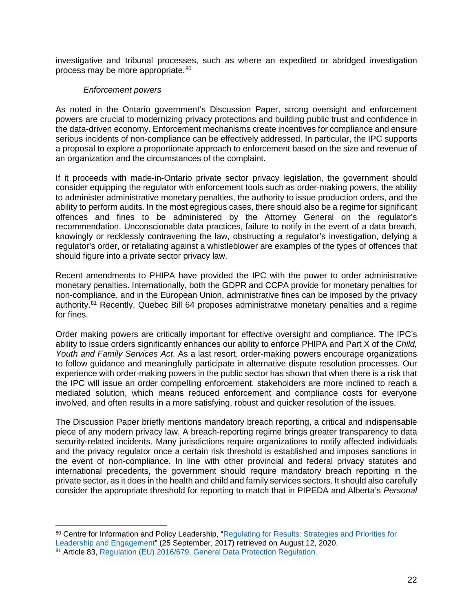investigative and tribunal processes, such as where an expedited or abridged investigation process may be more appropriate.<sup>[80](#page-22-0)</sup>

#### *Enforcement powers*

As noted in the Ontario government's Discussion Paper, strong oversight and enforcement powers are crucial to modernizing privacy protections and building public trust and confidence in the data-driven economy. Enforcement mechanisms create incentives for compliance and ensure serious incidents of non-compliance can be effectively addressed. In particular, the IPC supports a proposal to explore a proportionate approach to enforcement based on the size and revenue of an organization and the circumstances of the complaint.

If it proceeds with made-in-Ontario private sector privacy legislation, the government should consider equipping the regulator with enforcement tools such as order-making powers, the ability to administer administrative monetary penalties, the authority to issue production orders, and the ability to perform audits. In the most egregious cases, there should also be a regime for significant offences and fines to be administered by the Attorney General on the regulator's recommendation. Unconscionable data practices, failure to notify in the event of a data breach, knowingly or recklessly contravening the law, obstructing a regulator's investigation, defying a regulator's order, or retaliating against a whistleblower are examples of the types of offences that should figure into a private sector privacy law.

Recent amendments to PHIPA have provided the IPC with the power to order administrative monetary penalties. Internationally, both the GDPR and CCPA provide for monetary penalties for non-compliance, and in the European Union, administrative fines can be imposed by the privacy authority.[81](#page-22-1) Recently, Quebec Bill 64 proposes administrative monetary penalties and a regime for fines.

Order making powers are critically important for effective oversight and compliance. The IPC's ability to issue orders significantly enhances our ability to enforce PHIPA and Part X of the *Child, Youth and Family Services Act*. As a last resort, order-making powers encourage organizations to follow guidance and meaningfully participate in alternative dispute resolution processes. Our experience with order-making powers in the public sector has shown that when there is a risk that the IPC will issue an order compelling enforcement, stakeholders are more inclined to reach a mediated solution, which means reduced enforcement and compliance costs for everyone involved, and often results in a more satisfying, robust and quicker resolution of the issues.

The Discussion Paper briefly mentions mandatory breach reporting, a critical and indispensable piece of any modern privacy law. A breach-reporting regime brings greater transparency to data security-related incidents. Many jurisdictions require organizations to notify affected individuals and the privacy regulator once a certain risk threshold is established and imposes sanctions in the event of non-compliance. In line with other provincial and federal privacy statutes and international precedents, the government should require mandatory breach reporting in the private sector, as it does in the health and child and family services sectors. It should also carefully consider the appropriate threshold for reporting to match that in PIPEDA and Alberta's *Personal* 

<span id="page-22-0"></span><sup>80</sup> Centre for Information and Policy Leadership, "Regulating for Results: Strategies and Priorities for [Leadership and Engagement"](https://www.informationpolicycentre.com/uploads/5/7/1/0/57104281/cipl_final_draft_regulating_for_results_-_strategies_and_priorities_for_leadership_and_engagement.pdf) (25 September, 2017) retrieved on August 12, 2020.

<span id="page-22-1"></span><sup>81</sup> Article 83, [Regulation \(EU\) 2016/679, General Data Protection Regulation.](https://gdpr-info.eu/)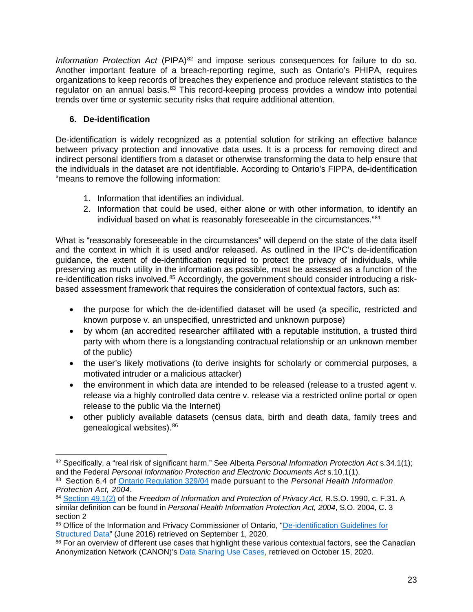*Information Protection Act* (PIPA)<sup>[82](#page-23-1)</sup> and impose serious consequences for failure to do so. Another important feature of a breach-reporting regime, such as Ontario's PHIPA, requires organizations to keep records of breaches they experience and produce relevant statistics to the regulator on an annual basis.<sup>[83](#page-23-2)</sup> This record-keeping process provides a window into potential trends over time or systemic security risks that require additional attention.

# <span id="page-23-0"></span>**6. De-identification**

De-identification is widely recognized as a potential solution for striking an effective balance between privacy protection and innovative data uses. It is a process for removing direct and indirect personal identifiers from a dataset or otherwise transforming the data to help ensure that the individuals in the dataset are not identifiable. According to Ontario's FIPPA, de-identification "means to remove the following information:

- 1. Information that identifies an individual.
- 2. Information that could be used, either alone or with other information, to identify an individual based on what is reasonably foreseeable in the circumstances."[84](#page-23-3)

What is "reasonably foreseeable in the circumstances" will depend on the state of the data itself and the context in which it is used and/or released. As outlined in the IPC's de-identification guidance, the extent of de-identification required to protect the privacy of individuals, while preserving as much utility in the information as possible, must be assessed as a function of the re-identification risks involved.<sup>[85](#page-23-4)</sup> Accordingly, the government should consider introducing a riskbased assessment framework that requires the consideration of contextual factors, such as:

- the purpose for which the de-identified dataset will be used (a specific, restricted and known purpose v. an unspecified, unrestricted and unknown purpose)
- by whom (an accredited researcher affiliated with a reputable institution, a trusted third party with whom there is a longstanding contractual relationship or an unknown member of the public)
- the user's likely motivations (to derive insights for scholarly or commercial purposes, a motivated intruder or a malicious attacker)
- the environment in which data are intended to be released (release to a trusted agent v. release via a highly controlled data centre v. release via a restricted online portal or open release to the public via the Internet)
- other publicly available datasets (census data, birth and death data, family trees and genealogical websites).[86](#page-23-5)

<span id="page-23-1"></span> $\overline{a}$ <sup>82</sup> Specifically, a "real risk of significant harm." See Alberta *Personal Information Protection Act* s.34.1(1); and the Federal *Personal Information Protection and Electronic Documents Act* s.10.1(1).

<span id="page-23-2"></span><sup>83</sup> Section 6.4 of [Ontario Regulation 329/04](https://www.ontario.ca/laws/regulation/040329) made pursuant to the *Personal Health Information Protection Act, 2004*.

<span id="page-23-3"></span><sup>84</sup> [Section 49.1\(2\)](https://www.ontario.ca/laws/statute/90f31#BK77) of the *Freedom of Information and Protection of Privacy Act*, R.S.O. 1990, c. F.31. A similar definition can be found in *Personal Health Information Protection Act, 2004*, S.O. 2004, C. 3 section 2

<span id="page-23-4"></span><sup>85</sup> Office of the Information and Privacy Commissioner of Ontario, "De-identification Guidelines for [Structured Data"](https://www.ipc.on.ca/wp-content/uploads/2016/08/Deidentification-Guidelines-for-Structured-Data.pdf) (June 2016) retrieved on September 1, 2020.

<span id="page-23-5"></span><sup>86</sup> For an overview of different use cases that highlight these various contextual factors, see the Canadian Anonymization Network (CANON)'s [Data Sharing Use Cases,](https://deidentify.ca/wp-content/uploads/2020/08/Data-Sharing-Use-Cases-Quick-Reference-Guide.pdf) retrieved on October 15, 2020.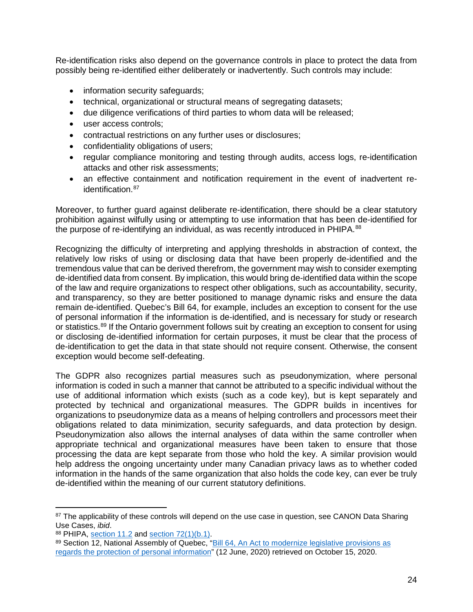Re-identification risks also depend on the governance controls in place to protect the data from possibly being re-identified either deliberately or inadvertently. Such controls may include:

- information security safequards;
- technical, organizational or structural means of segregating datasets;
- due diligence verifications of third parties to whom data will be released;
- user access controls;
- contractual restrictions on any further uses or disclosures;
- confidentiality obligations of users;
- regular compliance monitoring and testing through audits, access logs, re-identification attacks and other risk assessments;
- an effective containment and notification requirement in the event of inadvertent re-identification.<sup>[87](#page-24-0)</sup>

Moreover, to further guard against deliberate re-identification, there should be a clear statutory prohibition against wilfully using or attempting to use information that has been de-identified for the purpose of re-identifying an individual, as was recently introduced in PHIPA.<sup>[88](#page-24-1)</sup>

Recognizing the difficulty of interpreting and applying thresholds in abstraction of context, the relatively low risks of using or disclosing data that have been properly de-identified and the tremendous value that can be derived therefrom, the government may wish to consider exempting de-identified data from consent. By implication, this would bring de-identified data within the scope of the law and require organizations to respect other obligations, such as accountability, security, and transparency, so they are better positioned to manage dynamic risks and ensure the data remain de-identified. Quebec's Bill 64, for example, includes an exception to consent for the use of personal information if the information is de-identified, and is necessary for study or research or statistics.<sup>[89](#page-24-2)</sup> If the Ontario government follows suit by creating an exception to consent for using or disclosing de-identified information for certain purposes, it must be clear that the process of de-identification to get the data in that state should not require consent. Otherwise, the consent exception would become self-defeating.

The GDPR also recognizes partial measures such as pseudonymization, where personal information is coded in such a manner that cannot be attributed to a specific individual without the use of additional information which exists (such as a code key), but is kept separately and protected by technical and organizational measures. The GDPR builds in incentives for organizations to pseudonymize data as a means of helping controllers and processors meet their obligations related to data minimization, security safeguards, and data protection by design. Pseudonymization also allows the internal analyses of data within the same controller when appropriate technical and organizational measures have been taken to ensure that those processing the data are kept separate from those who hold the key. A similar provision would help address the ongoing uncertainty under many Canadian privacy laws as to whether coded information in the hands of the same organization that also holds the code key, can ever be truly de-identified within the meaning of our current statutory definitions.

<span id="page-24-0"></span><sup>&</sup>lt;sup>87</sup> The applicability of these controls will depend on the use case in question, see CANON Data Sharing<br>Use Cases. *ibid*.

<span id="page-24-1"></span><sup>88</sup> PHIPA, [section 11.2](https://www.ontario.ca/laws/statute/04p03#BK18) and [section 72\(1\)\(b.1\).](https://www.ontario.ca/laws/statute/04p03#BK117)

<span id="page-24-2"></span><sup>89</sup> Section 12, National Assembly of Quebec, "Bill 64, An Act to modernize legislative provisions as [regards the protection of personal information"](http://www.assnat.qc.ca/en/travaux-parlementaires/projets-loi/projet-loi-64-42-1.html) (12 June, 2020) retrieved on October 15, 2020.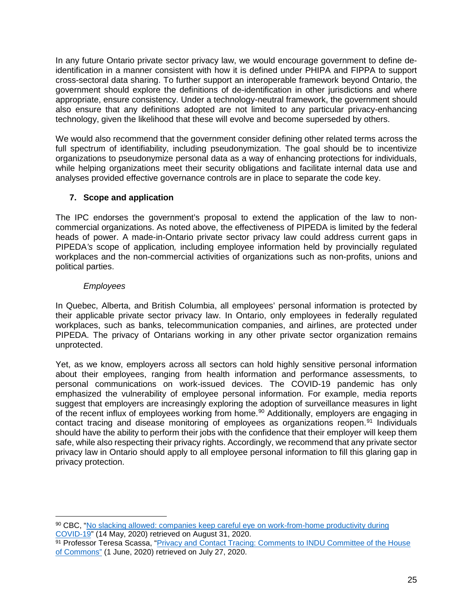In any future Ontario private sector privacy law, we would encourage government to define deidentification in a manner consistent with how it is defined under PHIPA and FIPPA to support cross-sectoral data sharing. To further support an interoperable framework beyond Ontario, the government should explore the definitions of de-identification in other jurisdictions and where appropriate, ensure consistency. Under a technology-neutral framework, the government should also ensure that any definitions adopted are not limited to any particular privacy-enhancing technology, given the likelihood that these will evolve and become superseded by others.

We would also recommend that the government consider defining other related terms across the full spectrum of identifiability, including pseudonymization. The goal should be to incentivize organizations to pseudonymize personal data as a way of enhancing protections for individuals, while helping organizations meet their security obligations and facilitate internal data use and analyses provided effective governance controls are in place to separate the code key.

## <span id="page-25-0"></span>**7. Scope and application**

The IPC endorses the government's proposal to extend the application of the law to noncommercial organizations. As noted above, the effectiveness of PIPEDA is limited by the federal heads of power. A made-in-Ontario private sector privacy law could address current gaps in PIPEDA*'s* scope of application*,* including employee information held by provincially regulated workplaces and the non-commercial activities of organizations such as non-profits, unions and political parties.

### *Employees*

 $\overline{a}$ 

In Quebec, Alberta, and British Columbia, all employees' personal information is protected by their applicable private sector privacy law. In Ontario, only employees in federally regulated workplaces, such as banks, telecommunication companies, and airlines, are protected under PIPEDA. The privacy of Ontarians working in any other private sector organization remains unprotected.

Yet, as we know, employers across all sectors can hold highly sensitive personal information about their employees, ranging from health information and performance assessments, to personal communications on work-issued devices. The COVID-19 pandemic has only emphasized the vulnerability of employee personal information. For example, media reports suggest that employers are increasingly exploring the adoption of surveillance measures in light of the recent influx of employees working from home.<sup>[90](#page-25-1)</sup> Additionally, employers are engaging in contact tracing and disease monitoring of employees as organizations reopen.<sup>[91](#page-25-2)</sup> Individuals should have the ability to perform their jobs with the confidence that their employer will keep them safe, while also respecting their privacy rights. Accordingly, we recommend that any private sector privacy law in Ontario should apply to all employee personal information to fill this glaring gap in privacy protection.

<span id="page-25-1"></span><sup>90</sup> CBC, ["No slacking allowed: companies keep careful eye on work-from-home productivity during](https://www.cbc.ca/news/business/working-from-home-employer-monitoring-1.5561969)  [COVID-19"](https://www.cbc.ca/news/business/working-from-home-employer-monitoring-1.5561969) (14 May, 2020) retrieved on August 31, 2020.

<span id="page-25-2"></span><sup>91</sup> Professor Teresa Scassa, "Privacy and Contact Tracing: Comments to INDU Committee of the House [of Commons"](https://www.teresascassa.ca/index.php?option=com_k2&view=item&id=326:privacy-and-contact-tracing-comments-to-indu-committee-of-the-house-of-commons&Itemid=80) (1 June, 2020) retrieved on July 27, 2020.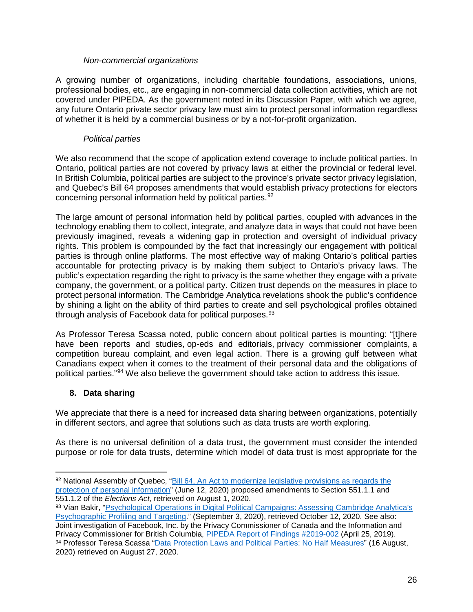#### *Non-commercial organizations*

A growing number of organizations, including charitable foundations, associations, unions, professional bodies, etc., are engaging in non-commercial data collection activities, which are not covered under PIPEDA. As the government noted in its Discussion Paper, with which we agree, any future Ontario private sector privacy law must aim to protect personal information regardless of whether it is held by a commercial business or by a not-for-profit organization.

### *Political parties*

We also recommend that the scope of application extend coverage to include political parties. In Ontario, political parties are not covered by privacy laws at either the provincial or federal level. In British Columbia, political parties are subject to the province's private sector privacy legislation, and Quebec's Bill 64 proposes amendments that would establish privacy protections for electors concerning personal information held by political parties.<sup>[92](#page-26-1)</sup>

The large amount of personal information held by political parties, coupled with advances in the technology enabling them to collect, integrate, and analyze data in ways that could not have been previously imagined, reveals a widening gap in protection and oversight of individual privacy rights. This problem is compounded by the fact that increasingly our engagement with political parties is through online platforms. The most effective way of making Ontario's political parties accountable for protecting privacy is by making them subject to Ontario's privacy laws. The public's expectation regarding the right to privacy is the same whether they engage with a private company, the government, or a political party. Citizen trust depends on the measures in place to protect personal information. The Cambridge Analytica revelations shook the public's confidence by shining a light on the ability of third parties to create and sell psychological profiles obtained through analysis of Facebook data for political purposes.<sup>[93](#page-26-2)</sup>

As Professor Teresa Scassa noted, public concern about political parties is mounting: "[t]here have been reports and studies, op-eds and editorials, privacy commissioner complaints, a competition bureau complaint, and even legal action. There is a growing gulf between what Canadians expect when it comes to the treatment of their personal data and the obligations of political parties."[94](#page-26-3) We also believe the government should take action to address this issue.

## <span id="page-26-0"></span>**8. Data sharing**

 $\overline{a}$ 

We appreciate that there is a need for increased data sharing between organizations, potentially in different sectors, and agree that solutions such as data trusts are worth exploring.

As there is no universal definition of a data trust, the government must consider the intended purpose or role for data trusts, determine which model of data trust is most appropriate for the

<span id="page-26-1"></span><sup>92</sup> National Assembly of Quebec, "Bill 64, An Act to modernize legislative provisions as regards the [protection of personal information"](http://www.assnat.qc.ca/en/travaux-parlementaires/projets-loi/projet-loi-64-42-1.html) (June 12, 2020) proposed amendments to Section 551.1.1 and 551.1.2 of the *Elections Act*, retrieved on August 1, 2020.

<span id="page-26-3"></span><span id="page-26-2"></span><sup>93</sup> Vian Bakir, "Psychological Operations in Digital Political Campaigns: Assessing Cambridge Analytica's [Psychographic Profiling and Targeting.](https://www.frontiersin.org/articles/10.3389/fcomm.2020.00067/full)" (September 3, 2020), retrieved October 12, 2020. See also: Joint investigation of Facebook, Inc. by the Privacy Commissioner of Canada and the Information and Privacy Commissioner for British Columbia, PIPEDA [Report of Findings #2019-002](https://www.priv.gc.ca/en/opc-actions-and-decisions/investigations/investigations-into-businesses/2019/pipeda-2019-002/#toc3-2) (April 25, 2019). 94 Professor Teresa Scassa ["Data Protection Laws and Political Parties: No Half Measures"](http://www.teresascassa.ca/index.php?option=com_k2&view=item&id=330:data-protection-laws-and-political-parties-no-half-measures&Itemid=80) (16 August, 2020) retrieved on August 27, 2020.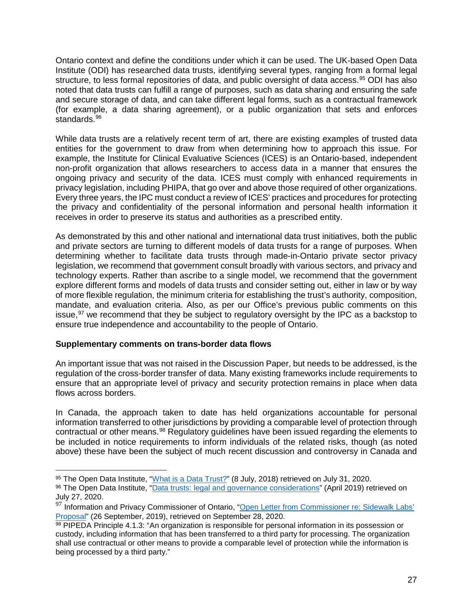Ontario context and define the conditions under which it can be used. The UK-based Open Data Institute (ODI) has researched data trusts, identifying several types, ranging from a formal legal structure, to less formal repositories of data, and public oversight of data access.<sup>[95](#page-27-0)</sup> ODI has also noted that data trusts can fulfill a range of purposes, such as data sharing and ensuring the safe and secure storage of data, and can take different legal forms, such as a contractual framework (for example, a data sharing agreement), or a public organization that sets and enforces standards.<sup>[96](#page-27-1)</sup>

While data trusts are a relatively recent term of art, there are existing examples of trusted data entities for the government to draw from when determining how to approach this issue. For example, the Institute for Clinical Evaluative Sciences (ICES) is an Ontario-based, independent non-profit organization that allows researchers to access data in a manner that ensures the ongoing privacy and security of the data. ICES must comply with enhanced requirements in privacy legislation, including PHIPA, that go over and above those required of other organizations. Every three years, the IPC must conduct a review of ICES' practices and procedures for protecting the privacy and confidentiality of the personal information and personal health information it receives in order to preserve its status and authorities as a prescribed entity.

As demonstrated by this and other national and international data trust initiatives, both the public and private sectors are turning to different models of data trusts for a range of purposes. When determining whether to facilitate data trusts through made-in-Ontario private sector privacy legislation, we recommend that government consult broadly with various sectors, and privacy and technology experts. Rather than ascribe to a single model, we recommend that the government explore different forms and models of data trusts and consider setting out, either in law or by way of more flexible regulation, the minimum criteria for establishing the trust's authority, composition, mandate, and evaluation criteria. Also, as per our Office's previous public comments on this issue, $97$  we recommend that they be subject to regulatory oversight by the IPC as a backstop to ensure true independence and accountability to the people of Ontario.

### **Supplementary comments on trans-border data flows**

An important issue that was not raised in the Discussion Paper, but needs to be addressed, is the regulation of the cross-border transfer of data. Many existing frameworks include requirements to ensure that an appropriate level of privacy and security protection remains in place when data flows across borders.

In Canada, the approach taken to date has held organizations accountable for personal information transferred to other jurisdictions by providing a comparable level of protection through contractual or other means.<sup>[98](#page-27-3)</sup> Regulatory guidelines have been issued regarding the elements to be included in notice requirements to inform individuals of the related risks, though (as noted above) these have been the subject of much recent discussion and controversy in Canada and

 $\overline{a}$ <sup>95</sup> The Open Data Institute, ["What is a Data Trust?"](https://theodi.org/article/what-is-a-data-trust/#1527168650599-ae3e3b8c-e22a62d2-2d92%3E.) (8 July, 2018) retrieved on July 31, 2020.

<span id="page-27-1"></span><span id="page-27-0"></span><sup>96</sup> The Open Data Institute, ["Data trusts: legal and governance considerations"](https://theodi.org/wp-content/uploads/2019/04/General-legal-report-on-data-trust.pdf) (April 2019) retrieved on July 27, 2020.

<span id="page-27-2"></span><sup>97</sup> Information and Privacy Commissioner of Ontario, "Open Letter from Commissioner re: Sidewalk Labs' [Proposal"](https://www.ipc.on.ca/wp-content/uploads/2019/09/2019-09-24-ltr-stephen-diamond-waterfront_toronto-residewalk-proposal.pdf) (26 September, 2019), retrieved on September 28, 2020.

<span id="page-27-3"></span> $98$  PIPEDA Principle 4.1.3: "An organization is responsible for personal information in its possession or custody, including information that has been transferred to a third party for processing. The organization shall use contractual or other means to provide a comparable level of protection while the information is being processed by a third party."